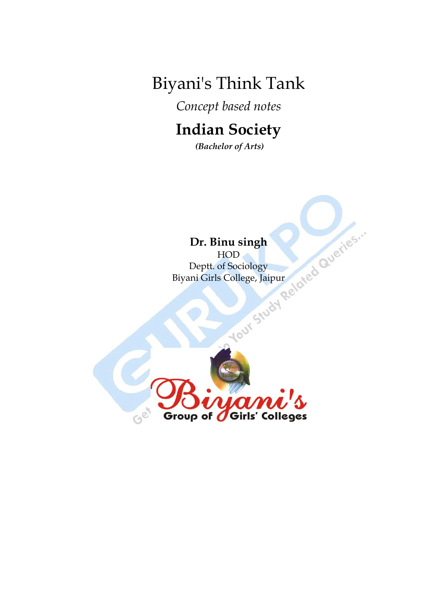## Biyani's Think Tank

*Concept based notes*

## **Indian Society**

*(Bachelor of Arts)*

HOD Deptt. of Sociology Biyani Girls College, Jaipur

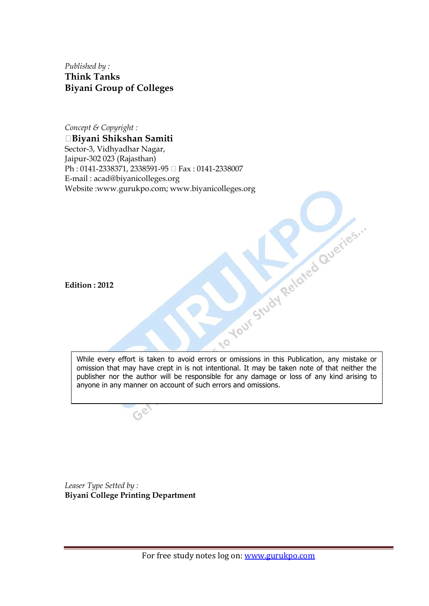*Published by :* **Think Tanks Biyani Group of Colleges**

*Concept & Copyright :* **Biyani Shikshan Samiti** Sector-3, Vidhyadhar Nagar, Jaipur-302 023 (Rajasthan) Ph : 0141-2338371, 2338591-95 □ Fax : 0141-2338007 E-mail : acad@biyanicolleges.org Website :www.gurukpo.com; www.biyanicolleges.org<br>Edition : 2012<br>Faction : 2012

**Edition : 2012**

While every effort is taken to avoid errors or omissions in this Publication, any mistake or omission that may have crept in is not intentional. It may be taken note of that neither the publisher nor the author will be responsible for any damage or loss of any kind arising to anyone in any manner on account of such errors and omissions.

*Leaser Type Setted by :* **Biyani College Printing Department**

For free study notes log on: www.gurukpo.com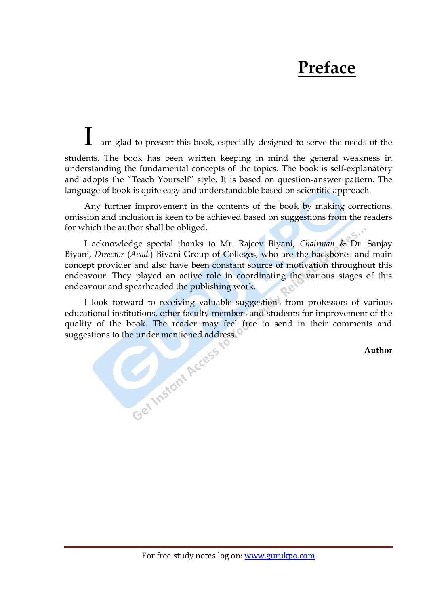## **Preface**

I am glad to present this book, especially designed to serve the needs of the students. The book has been written keeping in mind the general weakness in understanding the fundamental concepts of the topics. The book is self-explanatory and adopts the "Teach Yourself" style. It is based on question-answer pattern. The language of book is quite easy and understandable based on scientific approach.

Any further improvement in the contents of the book by making corrections, omission and inclusion is keen to be achieved based on suggestions from the readers for which the author shall be obliged.

I acknowledge special thanks to Mr. Rajeev Biyani, *Chairman* & Dr. Sanjay Biyani, *Director* (*Acad.*) Biyani Group of Colleges, who are the backbones and main concept provider and also have been constant source of motivation throughout this endeavour. They played an active role in coordinating the various stages of this endeavour and spearheaded the publishing work.

I look forward to receiving valuable suggestions from professors of various educational institutions, other faculty members and students for improvement of the quality of the book. The reader may feel free to send in their comments and suggestions to the under mentioned address.<br>Author suggestions to the under mentioned address.

#### **Author**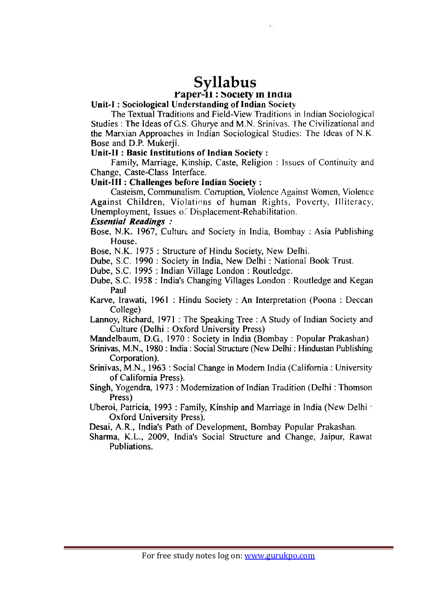# **Syllabus**<br>Paper-11 : Society in India

#### Unit-I: Sociological Understanding of Indian Society

The Textual Traditions and Field-View Traditions in Indian Sociological Studies: The Ideas of G.S. Ghurye and M.N. Srinivas. The Civilizational and the Marxian Approaches in Indian Sociological Studies: The Ideas of N.K. Bose and D.P. Mukerji.

#### Unit-II: Basic Institutions of Indian Society:

Family, Marriage, Kinship, Caste, Religion: Issues of Continuity and Change, Caste-Class Interface.

#### Unit-III : Challenges before Indian Society :

Casteism, Communalism, Corruption, Violence Against Women, Violence Against Children, Violations of human Rights, Poverty, Illiteracy, Unemployment, Issues of Displacement-Rehabilitation.

#### **Essential Readings:**

Bose, N.K. 1967, Culture and Society in India, Bombay: Asia Publishing House.

Bose, N.K. 1975 : Structure of Hindu Society, New Delhi.

Dube, S.C. 1990 : Society in India, New Delhi : National Boók Trust.

Dube, S.C. 1995 : Indian Village London : Routledge.

- Dube, S.C. 1958 : India's Changing Villages London : Routledge and Kegan Paul
- Karve, Irawati, 1961 : Hindu Society : An Interpretation (Poona : Deccan College)
- Lannoy, Richard, 1971: The Speaking Tree: A Study of Indian Society and Culture (Delhi: Oxford University Press)
- Mandelbaum, D.G., 1970 : Society in India (Bombay : Popular Prakashan)
- Srinivas, M.N., 1980 : India : Social Structure (New Delhi : Hindustan Publishing Corporation).
- Srinivas, M.N., 1963 : Social Change in Modern India (California : University of California Press).
- Singh, Yogendra, 1973: Modernization of Indian Tradition (Delhi: Thomson Press)
- Uberoi, Patricia, 1993 : Family, Kinship and Marriage in India (New Delhi : Oxford University Press).
- Desai, A.R., India's Path of Development, Bombay Popular Prakashan.
- Sharma, K.L., 2009, India's Social Structure and Change, Jaipur, Rawat Publiations.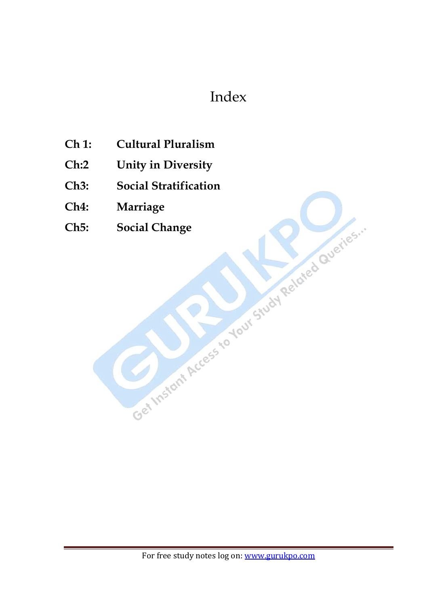## Index

- **Ch 1: Cultural Pluralism**
- **Ch:2 Unity in Diversity**
- **Ch3: Social Stratification**
- **Ch4: Marriage**
- **Ch5: Social Change**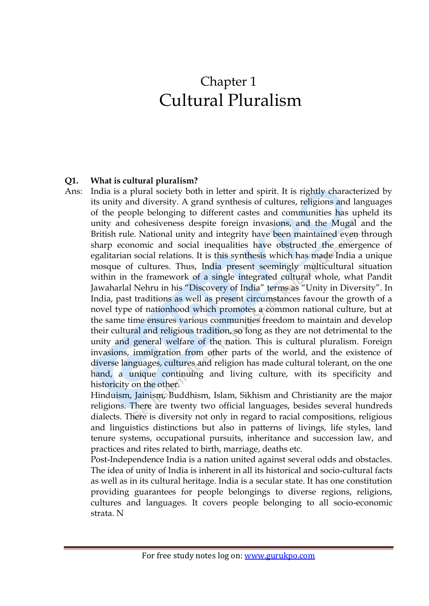## Chapter 1 Cultural Pluralism

#### **Q1. What is cultural pluralism?**

Ans: India is a plural society both in letter and spirit. It is rightly characterized by its unity and diversity. A grand synthesis of cultures, religions and languages of the people belonging to different castes and communities has upheld its unity and cohesiveness despite foreign invasions, and the Mugal and the British rule. National unity and integrity have been maintained even through sharp economic and social inequalities have obstructed the emergence of egalitarian social relations. It is this synthesis which has made India a unique mosque of cultures. Thus, India present seemingly multicultural situation within in the framework of a single integrated cultural whole, what Pandit Jawaharlal Nehru in his "Discovery of India" terms as "Unity in Diversity". In India, past traditions as well as present circumstances favour the growth of a novel type of nationhood which promotes a common national culture, but at the same time ensures various communities freedom to maintain and develop their cultural and religious tradition, so long as they are not detrimental to the unity and general welfare of the nation. This is cultural pluralism. Foreign invasions, immigration from other parts of the world, and the existence of diverse languages, cultures and religion has made cultural tolerant, on the one hand, a unique continuing and living culture, with its specificity and historicity on the other.

Hinduism, Jainism, Buddhism, Islam, Sikhism and Christianity are the major religions. There are twenty two official languages, besides several hundreds dialects. There is diversity not only in regard to racial compositions, religious and linguistics distinctions but also in patterns of livings, life styles, land tenure systems, occupational pursuits, inheritance and succession law, and practices and rites related to birth, marriage, deaths etc.

Post-Independence India is a nation united against several odds and obstacles. The idea of unity of India is inherent in all its historical and socio-cultural facts as well as in its cultural heritage. India is a secular state. It has one constitution providing guarantees for people belongings to diverse regions, religions, cultures and languages. It covers people belonging to all socio-economic strata. N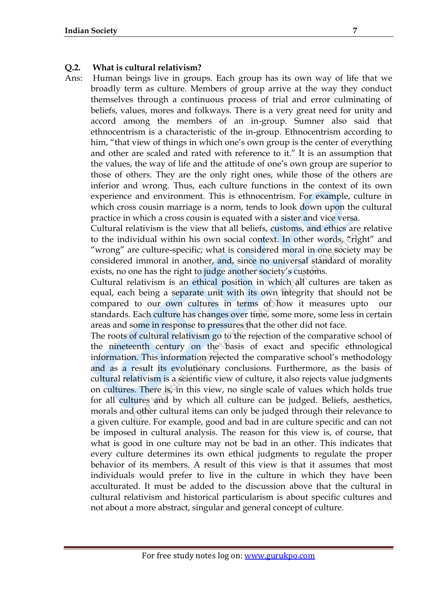#### **Q.2. What is cultural relativism?**

Ans: Human beings live in groups. Each group has its own way of life that we broadly term as culture. Members of group arrive at the way they conduct themselves through a continuous process of trial and error culminating of beliefs, values, mores and folkways. There is a very great need for unity and accord among the members of an in-group. Sumner also said that ethnocentrism is a characteristic of the in-group. Ethnocentrism according to him, "that view of things in which one's own group is the center of everything and other are scaled and rated with reference to it." It is an assumption that the values, the way of life and the attitude of one"s own group are superior to those of others. They are the only right ones, while those of the others are inferior and wrong. Thus, each culture functions in the context of its own experience and environment. This is ethnocentrism. For example, culture in which cross cousin marriage is a norm, tends to look down upon the cultural practice in which a cross cousin is equated with a sister and vice versa.

Cultural relativism is the view that all beliefs, customs, and ethics are relative to the individual within his own social context. In other words, "right" and "wrong" are culture-specific; what is considered moral in one society may be considered immoral in another, and, since no universal standard of morality exists, no one has the right to judge another society's customs.

Cultural relativism is an ethical position in which all cultures are taken as equal, each being a separate unit with its own integrity that should not be compared to our own cultures in terms of how it measures upto standards. Each culture has changes over time, some more, some less in certain areas and some in response to pressures that the other did not face.

The roots of cultural relativism go to the rejection of the comparative school of the nineteenth century on the basis of exact and specific ethnological information. This information rejected the comparative school"s methodology and as a result its evolutionary conclusions. Furthermore, as the basis of cultural relativism is a scientific view of culture, it also rejects value judgments on cultures. There is, in this view, no single scale of values which holds true for all cultures and by which all culture can be judged. Beliefs, aesthetics, morals and other cultural items can only be judged through their relevance to a given culture. For example, good and bad in are culture specific and can not be imposed in cultural analysis. The reason for this view is, of course, that what is good in one culture may not be bad in an other. This indicates that every culture determines its own ethical judgments to regulate the proper behavior of its members. A result of this view is that it assumes that most individuals would prefer to live in the culture in which they have been acculturated. It must be added to the discussion above that the cultural in cultural relativism and historical particularism is about specific cultures and not about a more abstract, singular and general concept of culture.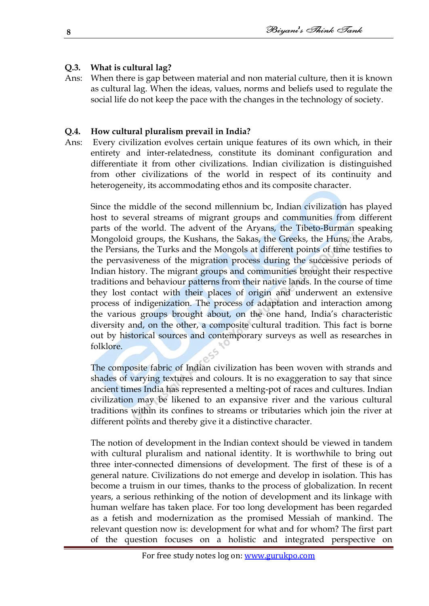#### **Q.3. What is cultural lag?**

Ans: When there is gap between material and non material culture, then it is known as cultural lag. When the ideas, values, norms and beliefs used to regulate the social life do not keep the pace with the changes in the technology of society.

#### **Q.4. How cultural pluralism prevail in India?**

Ans: Every civilization evolves certain unique features of its own which, in their entirety and inter-relatedness, constitute its dominant configuration and differentiate it from other civilizations. Indian civilization is distinguished from other civilizations of the world in respect of its continuity and heterogeneity, its accommodating ethos and its composite character.

Since the middle of the second millennium bc, Indian civilization has played host to several streams of migrant groups and communities from different parts of the world. The advent of the Aryans, the Tibeto-Burman speaking Mongoloid groups, the Kushans, the Sakas, the Greeks, the Huns, the Arabs, the Persians, the Turks and the Mongols at different points of time testifies to the pervasiveness of the migration process during the successive periods of Indian history. The migrant groups and communities brought their respective traditions and behaviour patterns from their native lands. In the course of time they lost contact with their places of origin and underwent an extensive process of indigenization. The process of adaptation and interaction among the various groups brought about, on the one hand, India"s characteristic diversity and, on the other, a composite cultural tradition. This fact is borne out by historical sources and contemporary surveys as well as researches in folklore.

The composite fabric of Indian civilization has been woven with strands and shades of varying textures and colours. It is no exaggeration to say that since ancient times India has represented a melting-pot of races and cultures. Indian civilization may be likened to an expansive river and the various cultural traditions within its confines to streams or tributaries which join the river at different points and thereby give it a distinctive character.

The notion of development in the Indian context should be viewed in tandem with cultural pluralism and national identity. It is worthwhile to bring out three inter-connected dimensions of development. The first of these is of a general nature. Civilizations do not emerge and develop in isolation. This has become a truism in our times, thanks to the process of globalization. In recent years, a serious rethinking of the notion of development and its linkage with human welfare has taken place. For too long development has been regarded as a fetish and modernization as the promised Messiah of mankind. The relevant question now is: development for what and for whom? The first part of the question focuses on a holistic and integrated perspective on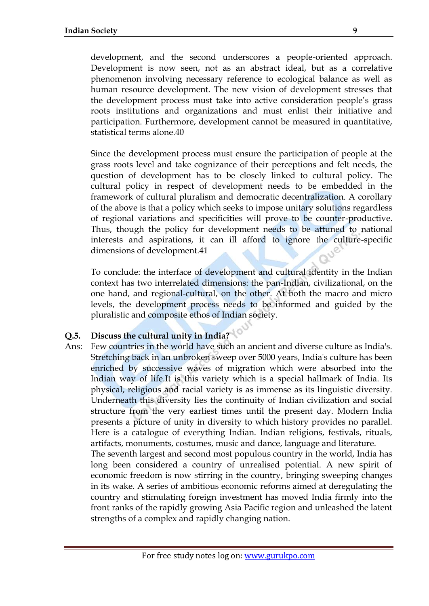development, and the second underscores a people-oriented approach. Development is now seen, not as an abstract ideal, but as a correlative phenomenon involving necessary reference to ecological balance as well as human resource development. The new vision of development stresses that the development process must take into active consideration people"s grass roots institutions and organizations and must enlist their initiative and participation. Furthermore, development cannot be measured in quantitative, statistical terms alone.40

Since the development process must ensure the participation of people at the grass roots level and take cognizance of their perceptions and felt needs, the question of development has to be closely linked to cultural policy. The cultural policy in respect of development needs to be embedded in the framework of cultural pluralism and democratic decentralization. A corollary of the above is that a policy which seeks to impose unitary solutions regardless of regional variations and specificities will prove to be counter-productive. Thus, though the policy for development needs to be attuned to national interests and aspirations, it can ill afford to ignore the culture-specific dimensions of development.41

To conclude: the interface of development and cultural identity in the Indian context has two interrelated dimensions: the pan-Indian, civilizational, on the one hand, and regional-cultural, on the other. At both the macro and micro levels, the development process needs to be informed and guided by the pluralistic and composite ethos of Indian society.

### **Q.5. Discuss the cultural unity in India?**

Ans: Few countries in the world have such an ancient and diverse culture as India's. Stretching back in an unbroken sweep over 5000 years, India's culture has been enriched by successive waves of migration which were absorbed into the Indian way of life.It is this variety which is a special hallmark of India. Its physical, religious and racial variety is as immense as its linguistic diversity. Underneath this diversity lies the continuity of Indian civilization and social structure from the very earliest times until the present day. Modern India presents a picture of unity in diversity to which history provides no parallel. Here is a catalogue of everything Indian. Indian religions, festivals, rituals, artifacts, monuments, costumes, music and dance, language and literature. The seventh largest and second most populous country in the world, India has long been considered a country of unrealised potential. A new spirit of economic freedom is now stirring in the country, bringing sweeping changes in its wake. A series of ambitious economic reforms aimed at deregulating the country and stimulating foreign investment has moved India firmly into the front ranks of the rapidly growing Asia Pacific region and unleashed the latent

strengths of a complex and rapidly changing nation.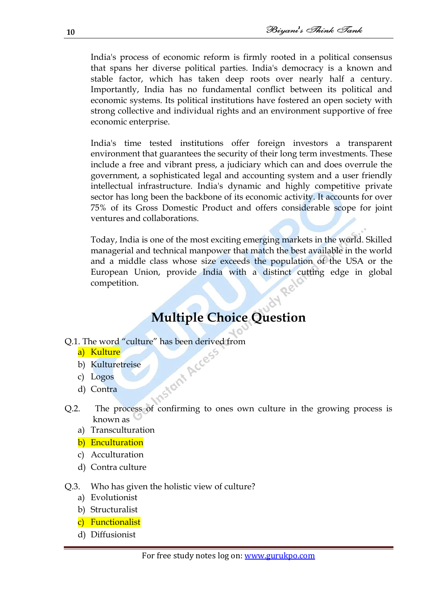India's process of economic reform is firmly rooted in a political consensus that spans her diverse political parties. India's democracy is a known and stable factor, which has taken deep roots over nearly half a century. Importantly, India has no fundamental conflict between its political and economic systems. Its political institutions have fostered an open society with strong collective and individual rights and an environment supportive of free economic enterprise.

India's time tested institutions offer foreign investors a transparent environment that guarantees the security of their long term investments. These include a free and vibrant press, a judiciary which can and does overrule the government, a sophisticated legal and accounting system and a user friendly intellectual infrastructure. India's dynamic and highly competitive private sector has long been the backbone of its economic activity. It accounts for over 75% of its Gross Domestic Product and offers considerable scope for joint ventures and collaborations.

Today, India is one of the most exciting emerging markets in the world. Skilled managerial and technical manpower that match the best available in the world and a middle class whose size exceeds the population of the USA or the European Union, provide India with a distinct cutting edge in global competition.

## **Multiple Choice Question**

# Q.1. The word "culture" has been derived from<br>
a) Kulture<br>
b) Kulturetreise<br>
c) Logos<br>
d) Contra

- a) Kulture
- b) Kulturetreise
- c) Logos
- d) Contra
- Q.2. The process of confirming to ones own culture in the growing process is known as
	- a) Transculturation
	- b) Enculturation
	- c) Acculturation
	- d) Contra culture
- Q.3. Who has given the holistic view of culture?
	- a) Evolutionist
	- b) Structuralist
	- c) Functionalist
	- d) Diffusionist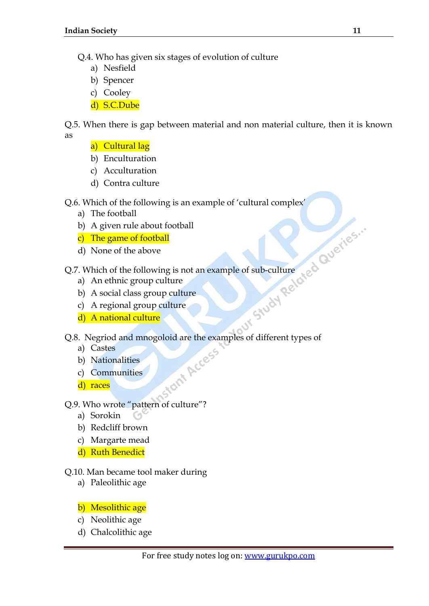- a) Nesfield
- b) Spencer
- c) Cooley
- d) S.C.Dube

Q.5. When there is gap between material and non material culture, then it is known as

- a) Cultural lag
- b) Enculturation
- c) Acculturation
- d) Contra culture

Q.6. Which of the following is an example of "cultural complex"

- a) The football
- b) A given rule about football
- c) The game of football
- d) None of the above

Q.7. Which of the following is not an example of sub-culture

- a) An ethnic group culture
- b) A social class group culture
- c) A regional group culture
- d) A national culture
- Q.8. Negriod and mnogoloid are the examples of different types of
	- a) Castes
	- b) Nationalities
	- c) Communities
	- d) races
- Q.9. Who wrote "pattern of culture"?  $\mathbb{C}^d$ 
	- a) Sorokin
	- b) Redcliff brown
	- c) Margarte mead
	- d) Ruth Benedict
- Q.10. Man became tool maker during
	- a) Paleolithic age
	- b) Mesolithic age
	- c) Neolithic age
	- d) Chalcolithic age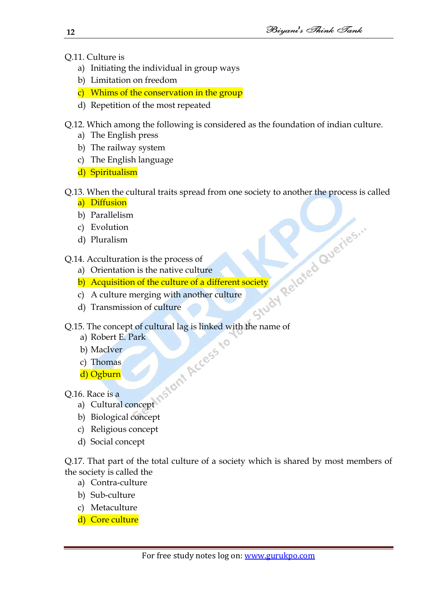- Q.11. Culture is
	- a) Initiating the individual in group ways
	- b) Limitation on freedom
	- c) Whims of the conservation in the group
	- d) Repetition of the most repeated

Q.12. Which among the following is considered as the foundation of indian culture.

- a) The English press
- b) The railway system
- c) The English language
- d) Spiritualism
- Q.13. When the cultural traits spread from one society to another the process is called
	- a) Diffusion
	- b) Parallelism
	- c) Evolution
	- d) Pluralism
- Q.14. Acculturation is the process of
	- a) Orientation is the native culture
	-
	- c) A culture merging with another culture
	- d) Transmission of culture
- Figure 1. Is the process of<br>
Luis the process of<br>
b) Acquisition of the culture of a different society<br>
c) A culture merging with another culture<br>
d) Transmission of culture<br>
15. The concording Q.15. The concept of cultural lag is linked with the name of<br>a) Robert E. Park<br>b) MacIver<br>c) Thomas<br>d) Ogburn<br>Q.16. Race is a
	- a) Robert E. Park
	- b) MacIver
	- c) Thomas
	- d) Ogburn
- Q.16. Race is a
	- a) Cultural concept
	- b) Biological concept
	- c) Religious concept
	- d) Social concept

Q.17. That part of the total culture of a society which is shared by most members of the society is called the

- a) Contra-culture
- b) Sub-culture
- c) Metaculture
- d) Core culture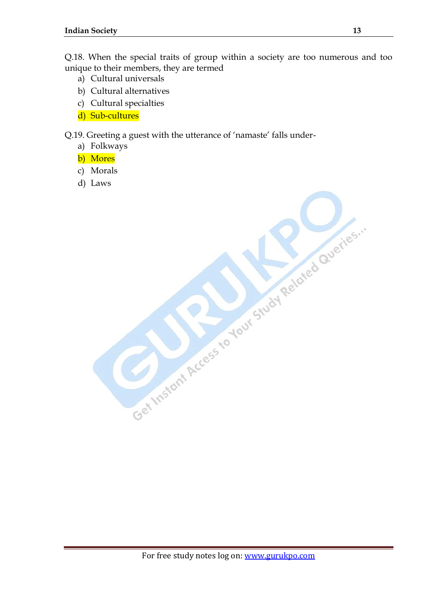Q.18. When the special traits of group within a society are too numerous and too unique to their members, they are termed

- a) Cultural universals
- b) Cultural alternatives
- c) Cultural specialties
- d) Sub-cultures

Q.19. Greeting a guest with the utterance of 'namaste' falls under-

- a) Folkways
- b) Mores
- c) Morals
- 

d) Laws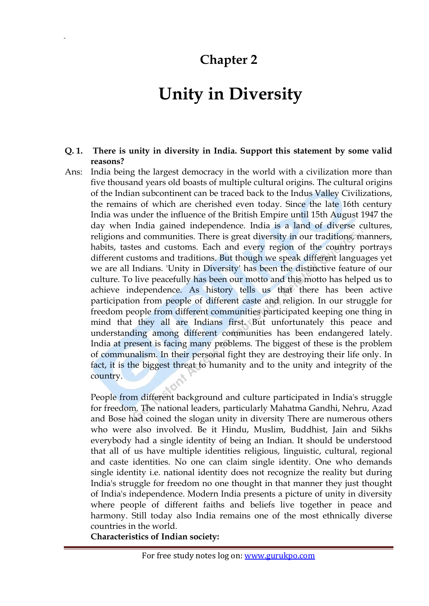## **Chapter 2**

## **Unity in Diversity**

#### **Q. 1. There is unity in diversity in India. Support this statement by some valid reasons?**

Ans: India being the largest democracy in the world with a civilization more than five thousand years old boasts of multiple cultural origins. The cultural origins of the Indian subcontinent can be traced back to the Indus Valley Civilizations, the remains of which are cherished even today. Since the late 16th century India was under the influence of the British Empire until 15th August 1947 the day when India gained independence. India is a land of diverse cultures, religions and communities. There is great diversity in our traditions, manners, habits, tastes and customs. Each and every region of the country portrays different customs and traditions. But though we speak different languages yet we are all Indians. 'Unity in Diversity' has been the distinctive feature of our culture. To live peacefully has been our motto and this motto has helped us to achieve independence. As history tells us that there has been active participation from people of different caste and religion. In our struggle for freedom people from different communities participated keeping one thing in mind that they all are Indians first. But unfortunately this peace and understanding among different communities has been endangered lately. India at present is facing many problems. The biggest of these is the problem of communalism. In their personal fight they are destroying their life only. In fact, it is the biggest threat to humanity and to the unity and integrity of the country.

People from different background and culture participated in India's struggle for freedom. The national leaders, particularly Mahatma Gandhi, Nehru, Azad and Bose had coined the slogan unity in diversity There are numerous others who were also involved. Be it Hindu, Muslim, Buddhist, Jain and Sikhs everybody had a single identity of being an Indian. It should be understood that all of us have multiple identities religious, linguistic, cultural, regional and caste identities. No one can claim single identity. One who demands single identity i.e. national identity does not recognize the reality but during India's struggle for freedom no one thought in that manner they just thought of India's independence. Modern India presents a picture of unity in diversity where people of different faiths and beliefs live together in peace and harmony. Still today also India remains one of the most ethnically diverse countries in the world.

**Characteristics of Indian society:**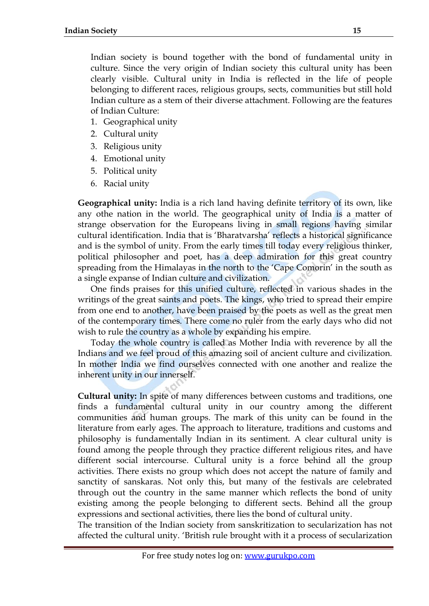Indian society is bound together with the bond of fundamental unity in culture. Since the very origin of Indian society this cultural unity has been clearly visible. Cultural unity in India is reflected in the life of people belonging to different races, religious groups, sects, communities but still hold Indian culture as a stem of their diverse attachment. Following are the features of Indian Culture:

- 1. Geographical unity
- 2. Cultural unity
- 3. Religious unity
- 4. Emotional unity
- 5. Political unity
- 6. Racial unity

**Geographical unity:** India is a rich land having definite territory of its own, like any othe nation in the world. The geographical unity of India is a matter of strange observation for the Europeans living in small regions having similar cultural identification. India that is "Bharatvarsha" reflects a historical significance and is the symbol of unity. From the early times till today every religious thinker, political philosopher and poet, has a deep admiration for this great country spreading from the Himalayas in the north to the 'Cape Comorin' in the south as a single expanse of Indian culture and civilization.

One finds praises for this unified culture, reflected in various shades in the writings of the great saints and poets. The kings, who tried to spread their empire from one end to another, have been praised by the poets as well as the great men of the contemporary times. There come no ruler from the early days who did not wish to rule the country as a whole by expanding his empire.

Today the whole country is called as Mother India with reverence by all the Indians and we feel proud of this amazing soil of ancient culture and civilization. In mother India we find ourselves connected with one another and realize the inherent unity in our innerself.

**Cultural unity:** In spite of many differences between customs and traditions, one finds a fundamental cultural unity in our country among the different communities and human groups. The mark of this unity can be found in the literature from early ages. The approach to literature, traditions and customs and philosophy is fundamentally Indian in its sentiment. A clear cultural unity is found among the people through they practice different religious rites, and have different social intercourse. Cultural unity is a force behind all the group activities. There exists no group which does not accept the nature of family and sanctity of sanskaras. Not only this, but many of the festivals are celebrated through out the country in the same manner which reflects the bond of unity existing among the people belonging to different sects. Behind all the group expressions and sectional activities, there lies the bond of cultural unity.

The transition of the Indian society from sanskritization to secularization has not affected the cultural unity. "British rule brought with it a process of secularization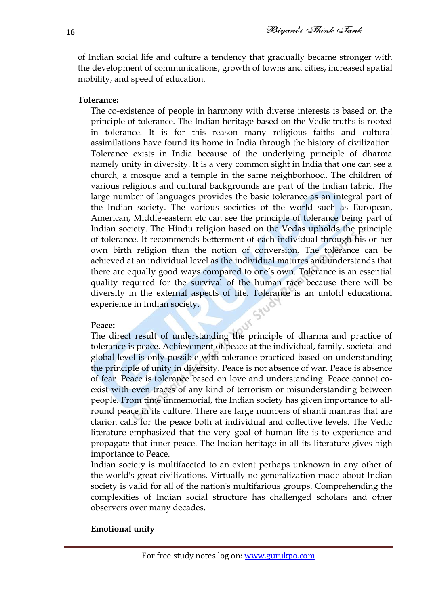of Indian social life and culture a tendency that gradually became stronger with the development of communications, growth of towns and cities, increased spatial mobility, and speed of education.

#### **Tolerance:**

The co-existence of people in harmony with diverse interests is based on the principle of tolerance. The Indian heritage based on the Vedic truths is rooted in tolerance. It is for this reason many religious faiths and cultural assimilations have found its home in India through the history of civilization. Tolerance exists in India because of the underlying principle of dharma namely unity in diversity. It is a very common sight in India that one can see a church, a mosque and a temple in the same neighborhood. The children of various religious and cultural backgrounds are part of the Indian fabric. The large number of languages provides the basic tolerance as an integral part of the Indian society. The various societies of the world such as European, American, Middle-eastern etc can see the principle of tolerance being part of Indian society. The Hindu religion based on the Vedas upholds the principle of tolerance. It recommends betterment of each individual through his or her own birth religion than the notion of conversion. The tolerance can be achieved at an individual level as the individual matures and understands that there are equally good ways compared to one"s own. Tolerance is an essential quality required for the survival of the human race because there will be diversity in the external aspects of life. Tolerance is an untold educational experience in Indian society.

#### **Peace:**

The direct result of understanding the principle of dharma and practice of tolerance is peace. Achievement of peace at the individual, family, societal and global level is only possible with tolerance practiced based on understanding the principle of unity in diversity. Peace is not absence of war. Peace is absence of fear. Peace is tolerance based on love and understanding. Peace cannot coexist with even traces of any kind of terrorism or misunderstanding between people. From time immemorial, the Indian society has given importance to allround peace in its culture. There are large numbers of shanti mantras that are clarion calls for the peace both at individual and collective levels. The Vedic literature emphasized that the very goal of human life is to experience and propagate that inner peace. The Indian heritage in all its literature gives high importance to Peace.

Indian society is multifaceted to an extent perhaps unknown in any other of the world's great civilizations. Virtually no generalization made about Indian society is valid for all of the nation's multifarious groups. Comprehending the complexities of Indian social structure has challenged scholars and other observers over many decades.

#### **Emotional unity**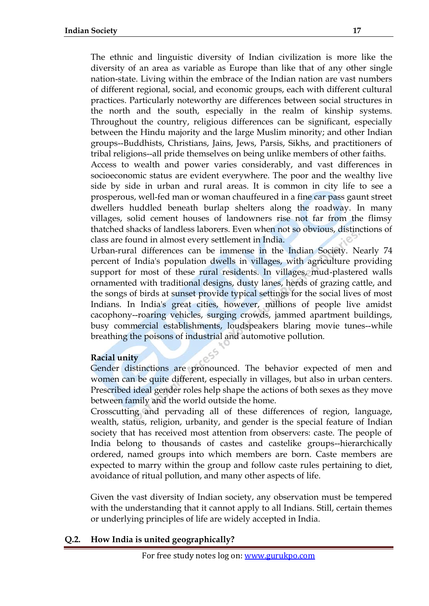The ethnic and linguistic diversity of Indian civilization is more like the diversity of an area as variable as Europe than like that of any other single nation-state. Living within the embrace of the Indian nation are vast numbers of different regional, social, and economic groups, each with different cultural practices. Particularly noteworthy are differences between social structures in the north and the south, especially in the realm of kinship systems. Throughout the country, religious differences can be significant, especially between the Hindu majority and the large Muslim minority; and other Indian groups--Buddhists, Christians, Jains, Jews, Parsis, Sikhs, and practitioners of tribal religions--all pride themselves on being unlike members of other faiths.

Access to wealth and power varies considerably, and vast differences in socioeconomic status are evident everywhere. The poor and the wealthy live side by side in urban and rural areas. It is common in city life to see a prosperous, well-fed man or woman chauffeured in a fine car pass gaunt street dwellers huddled beneath burlap shelters along the roadway. In many villages, solid cement houses of landowners rise not far from the flimsy thatched shacks of landless laborers. Even when not so obvious, distinctions of class are found in almost every settlement in India.

Urban-rural differences can be immense in the Indian Society. Nearly 74 percent of India's population dwells in villages, with agriculture providing support for most of these rural residents. In villages, mud-plastered walls ornamented with traditional designs, dusty lanes, herds of grazing cattle, and the songs of birds at sunset provide typical settings for the social lives of most Indians. In India's great cities, however, millions of people live amidst cacophony--roaring vehicles, surging crowds, jammed apartment buildings, busy commercial establishments, loudspeakers blaring movie tunes--while breathing the poisons of industrial and automotive pollution.

#### **Racial unity**

Gender distinctions are pronounced. The behavior expected of men and women can be quite different, especially in villages, but also in urban centers. Prescribed ideal gender roles help shape the actions of both sexes as they move between family and the world outside the home.

Crosscutting and pervading all of these differences of region, language, wealth, status, religion, urbanity, and gender is the special feature of Indian society that has received most attention from observers: caste. The people of India belong to thousands of castes and castelike groups--hierarchically ordered, named groups into which members are born. Caste members are expected to marry within the group and follow caste rules pertaining to diet, avoidance of ritual pollution, and many other aspects of life.

Given the vast diversity of Indian society, any observation must be tempered with the understanding that it cannot apply to all Indians. Still, certain themes or underlying principles of life are widely accepted in India.

#### **Q.2. How India is united geographically?**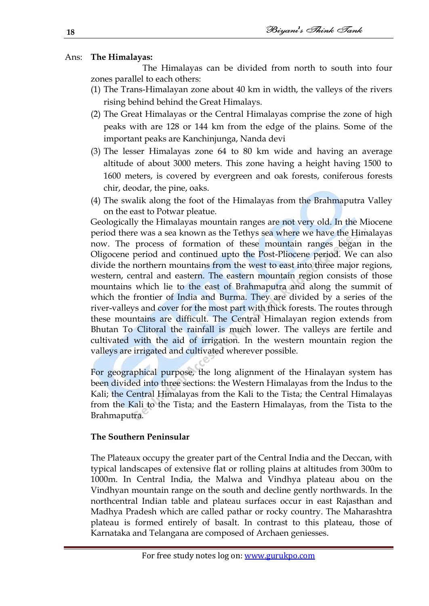#### Ans: **The Himalayas:**

The Himalayas can be divided from north to south into four zones parallel to each others:

- (1) The Trans-Himalayan zone about 40 km in width, the valleys of the rivers rising behind behind the Great Himalays.
- (2) The Great Himalayas or the Central Himalayas comprise the zone of high peaks with are 128 or 144 km from the edge of the plains. Some of the important peaks are Kanchinjunga, Nanda devi
- (3) The lesser Himalayas zone 64 to 80 km wide and having an average altitude of about 3000 meters. This zone having a height having 1500 to 1600 meters, is covered by evergreen and oak forests, coniferous forests chir, deodar, the pine, oaks.
- (4) The swalik along the foot of the Himalayas from the Brahmaputra Valley on the east to Potwar pleatue.

Geologically the Himalayas mountain ranges are not very old. In the Miocene period there was a sea known as the Tethys sea where we have the Himalayas now. The process of formation of these mountain ranges began in the Oligocene period and continued upto the Post-Pliocene period. We can also divide the northern mountains from the west to east into three major regions, western, central and eastern. The eastern mountain region consists of those mountains which lie to the east of Brahmaputra and along the summit of which the frontier of India and Burma. They are divided by a series of the river-valleys and cover for the most part with thick forests. The routes through these mountains are difficult. The Central Himalayan region extends from Bhutan To Clitoral the rainfall is much lower. The valleys are fertile and cultivated with the aid of irrigation. In the western mountain region the valleys are irrigated and cultivated wherever possible.

For geographical purpose, the long alignment of the Hinalayan system has been divided into three sections: the Western Himalayas from the Indus to the Kali; the Central Himalayas from the Kali to the Tista; the Central Himalayas from the Kali to the Tista; and the Eastern Himalayas, from the Tista to the Brahmaputra.

#### **The Southern Peninsular**

The Plateaux occupy the greater part of the Central India and the Deccan, with typical landscapes of extensive flat or rolling plains at altitudes from 300m to 1000m. In Central India, the Malwa and Vindhya plateau abou on the Vindhyan mountain range on the south and decline gently northwards. In the northcentral Indian table and plateau surfaces occur in east Rajasthan and Madhya Pradesh which are called pathar or rocky country. The Maharashtra plateau is formed entirely of basalt. In contrast to this plateau, those of Karnataka and Telangana are composed of Archaen geniesses.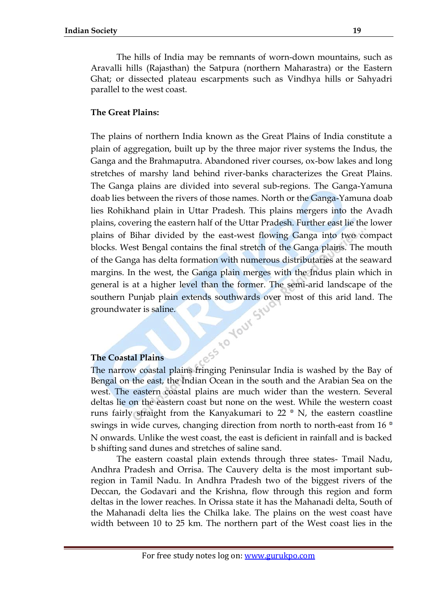The hills of India may be remnants of worn-down mountains, such as Aravalli hills (Rajasthan) the Satpura (northern Maharastra) or the Eastern Ghat; or dissected plateau escarpments such as Vindhya hills or Sahyadri parallel to the west coast.

#### **The Great Plains:**

The plains of northern India known as the Great Plains of India constitute a plain of aggregation, built up by the three major river systems the Indus, the Ganga and the Brahmaputra. Abandoned river courses, ox-bow lakes and long stretches of marshy land behind river-banks characterizes the Great Plains. The Ganga plains are divided into several sub-regions. The Ganga-Yamuna doab lies between the rivers of those names. North or the Ganga-Yamuna doab lies Rohikhand plain in Uttar Pradesh. This plains mergers into the Avadh plains, covering the eastern half of the Uttar Pradesh. Further east lie the lower plains of Bihar divided by the east-west flowing Ganga into two compact blocks. West Bengal contains the final stretch of the Ganga plains. The mouth of the Ganga has delta formation with numerous distributaries at the seaward margins. In the west, the Ganga plain merges with the Indus plain which in general is at a higher level than the former. The semi-arid landscape of the southern Punjab plain extends southwards over most of this arid land. The groundwater is saline. groundwater is saline.

#### **The Coastal Plains**

The narrow coastal plains fringing Peninsular India is washed by the Bay of Bengal on the east, the Indian Ocean in the south and the Arabian Sea on the west. The eastern coastal plains are much wider than the western. Several deltas lie on the eastern coast but none on the west. While the western coast runs fairly straight from the Kanyakumari to  $22 \degree$  N, the eastern coastline swings in wide curves, changing direction from north to north-east from 16 ° N onwards. Unlike the west coast, the east is deficient in rainfall and is backed b shifting sand dunes and stretches of saline sand.

The eastern coastal plain extends through three states- Tmail Nadu, Andhra Pradesh and Orrisa. The Cauvery delta is the most important subregion in Tamil Nadu. In Andhra Pradesh two of the biggest rivers of the Deccan, the Godavari and the Krishna, flow through this region and form deltas in the lower reaches. In Orissa state it has the Mahanadi delta, South of the Mahanadi delta lies the Chilka lake. The plains on the west coast have width between 10 to 25 km. The northern part of the West coast lies in the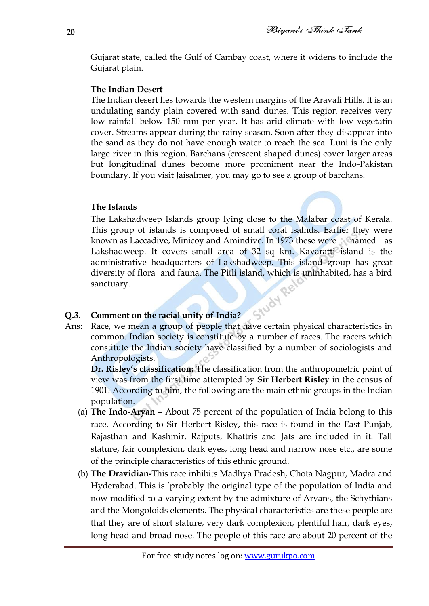Gujarat state, called the Gulf of Cambay coast, where it widens to include the Gujarat plain.

#### **The Indian Desert**

The Indian desert lies towards the western margins of the Aravali Hills. It is an undulating sandy plain covered with sand dunes. This region receives very low rainfall below 150 mm per year. It has arid climate with low vegetatin cover. Streams appear during the rainy season. Soon after they disappear into the sand as they do not have enough water to reach the sea. Luni is the only large river in this region. Barchans (crescent shaped dunes) cover larger areas but longitudinal dunes become more promiment near the Indo-Pakistan boundary. If you visit Jaisalmer, you may go to see a group of barchans.

#### **The Islands**

The Lakshadweep Islands group lying close to the Malabar coast of Kerala. This group of islands is composed of small coral isalnds. Earlier they were known as Laccadive, Minicoy and Amindive. In 1973 these were named as Lakshadweep. It covers small area of 32 sq km. Kavaratti island is the administrative headquarters of Lakshadweep. This island group has great diversity of flora and fauna. The Pitli island, which is uninhabited, has a bird sanctuary.<br> **Comment on the racial unity of Leonary** sanctuary.

#### **Q.3. Comment on the racial unity of India?**

Ans: Race, we mean a group of people that have certain physical characteristics in common. Indian society is constitute by a number of races. The racers which constitute the Indian society have classified by a number of sociologists and Anthropologists.

**Dr. Risley's classification:** The classification from the anthropometric point of view was from the first time attempted by **Sir Herbert Risley** in the census of 1901. According to him, the following are the main ethnic groups in the Indian population.

- (a) **The Indo-Aryan –** About 75 percent of the population of India belong to this race. According to Sir Herbert Risley, this race is found in the East Punjab, Rajasthan and Kashmir. Rajputs, Khattris and Jats are included in it. Tall stature, fair complexion, dark eyes, long head and narrow nose etc., are some of the principle characteristics of this ethnic ground.
- (b) **The Dravidian-**This race inhibits Madhya Pradesh, Chota Nagpur, Madra and Hyderabad. This is "probably the original type of the population of India and now modified to a varying extent by the admixture of Aryans, the Schythians and the Mongoloids elements. The physical characteristics are these people are that they are of short stature, very dark complexion, plentiful hair, dark eyes, long head and broad nose. The people of this race are about 20 percent of the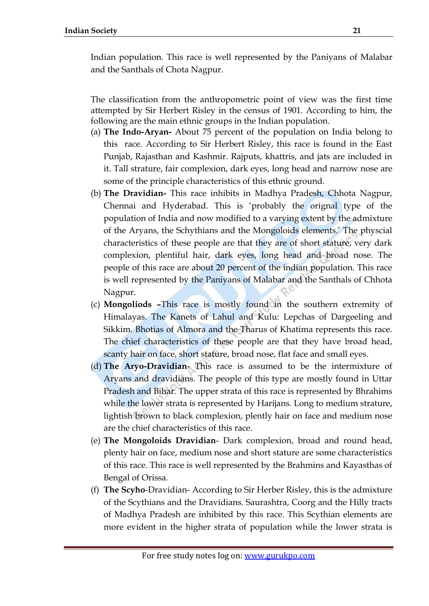Indian population. This race is well represented by the Paniyans of Malabar and the Santhals of Chota Nagpur.

The classification from the anthropometric point of view was the first time attempted by Sir Herbert Risley in the census of 1901. According to him, the following are the main ethnic groups in the Indian population.

- (a) **The Indo-Aryan-** About 75 percent of the population on India belong to this race. According to Sir Herbert Risley, this race is found in the East Punjab, Rajasthan and Kashmir. Rajputs, khattris, and jats are included in it. Tall strature, fair complexion, dark eyes, long head and narrow nose are some of the principle characteristics of this ethnic ground.
- (b) **The Dravidian-** This race inhibits in Madhya Pradesh, Chhota Nagpur, Chennai and Hyderabad. This is "probably the orignal type of the population of India and now modified to a varying extent by the admixture of the Aryans, the Schythians and the Mongoloids elements." The physcial characteristics of these people are that they are of short stature, very dark complexion, plentiful hair, dark eyes, long head and broad nose. The people of this race are about 20 percent of the indian population. This race is well represented by the Paniyans of Malabar and the Santhals of Chhota Nagpur.
- (c) **Mongoliods –**This race is mostly found in the southern extremity of Himalayas. The Kanets of Lahul and Kulu: Lepchas of Dargeeling and Sikkim. Bhotias of Almora and the Tharus of Khatima represents this race. The chief characteristics of these people are that they have broad head, scanty hair on face, short stature, broad nose, flat face and small eyes.
- (d) **The Aryo-Dravidian** This race is assumed to be the intermixture of Aryans and dravidians. The people of this type are mostly found in Uttar Pradesh and Bihar. The upper strata of this race is represented by Bhrahims while the lower strata is represented by Harijans. Long to medium strature, lightish brown to black complexion, plently hair on face and medium nose are the chief characteristics of this race.
- (e) **The Mongoloids Dravidian** Dark complexion, broad and round head, plenty hair on face, medium nose and short stature are some characteristics of this race. This race is well represented by the Brahmins and Kayasthas of Bengal of Orissa.
- (f) **The Scyho**-Dravidian- According to Sir Herber Risley, this is the admixture of the Scythians and the Dravidians. Saurashtra, Coorg and the Hilly tracts of Madhya Pradesh are inhibited by this race. This Scythian elements are more evident in the higher strata of population while the lower strata is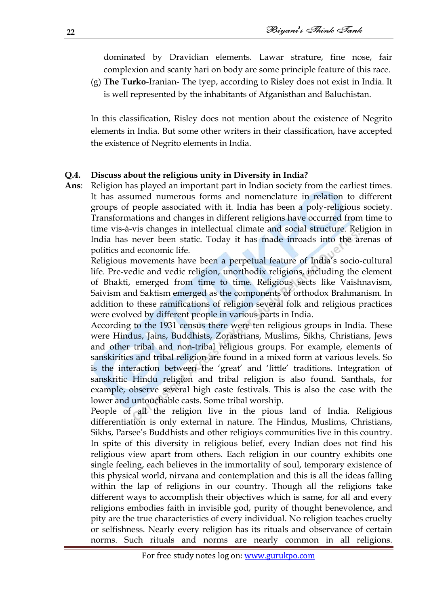dominated by Dravidian elements. Lawar strature, fine nose, fair complexion and scanty hari on body are some principle feature of this race.

(g) **The Turko**-Iranian- The tyep, according to Risley does not exist in India. It is well represented by the inhabitants of Afganisthan and Baluchistan.

In this classification, Risley does not mention about the existence of Negrito elements in India. But some other writers in their classification, have accepted the existence of Negrito elements in India.

#### **Q.4. Discuss about the religious unity in Diversity in India?**

**Ans**: Religion has played an important part in Indian society from the earliest times. It has assumed numerous forms and nomenclature in relation to different groups of people associated with it. India has been a poly-religious society. Transformations and changes in different religions have occurred from time to time vis-à-vis changes in intellectual climate and social structure. Religion in India has never been static. Today it has made inroads into the arenas of politics and economic life.

Religious movements have been a perpetual feature of India"s socio-cultural life. Pre-vedic and vedic religion, unorthodix religions, including the element of Bhakti, emerged from time to time. Religious sects like Vaishnavism, Saivism and Saktism emerged as the components of orthodox Brahmanism. In addition to these ramifications of religion several folk and religious practices were evolved by different people in various parts in India.

According to the 1931 census there were ten religious groups in India. These were Hindus, Jains, Buddhists, Zorastrians, Muslims, Sikhs, Christians, Jews and other tribal and non-tribal religious groups. For example, elements of sanskiritics and tribal religion are found in a mixed form at various levels. So is the interaction between the "great" and "little" traditions. Integration of sanskritic Hindu religion and tribal religion is also found. Santhals, for example, observe several high caste festivals. This is also the case with the lower and untouchable casts. Some tribal worship.

People of all the religion live in the pious land of India. Religious differentiation is only external in nature. The Hindus, Muslims, Christians, Sikhs, Parsee"s Buddhists and other religioys communities live in this country. In spite of this diversity in religious belief, every Indian does not find his religious view apart from others. Each religion in our country exhibits one single feeling, each believes in the immortality of soul, temporary existence of this physical world, nirvana and contemplation and this is all the ideas falling within the lap of religions in our country. Though all the religions take different ways to accomplish their objectives which is same, for all and every religions embodies faith in invisible god, purity of thought benevolence, and pity are the true characteristics of every individual. No religion teaches cruelty or selfishness. Nearly every religion has its rituals and observance of certain norms. Such rituals and norms are nearly common in all religions.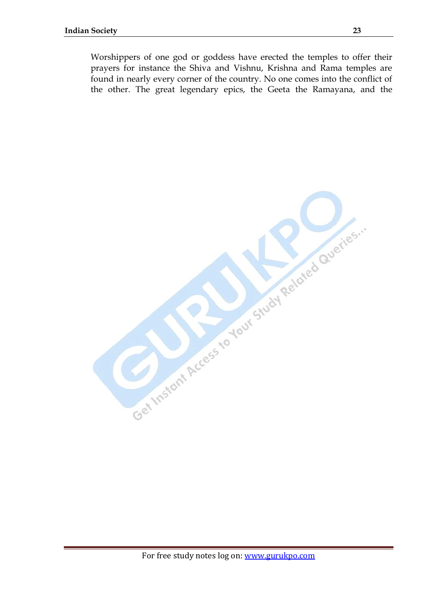Worshippers of one god or goddess have erected the temples to offer their prayers for instance the Shiva and Vishnu, Krishna and Rama temples are found in nearly every corner of the country. No one comes into the conflict of the other. The great legendary epics, the Geeta the Ramayana, and the

Get Instant Access to Your Study Related Queries.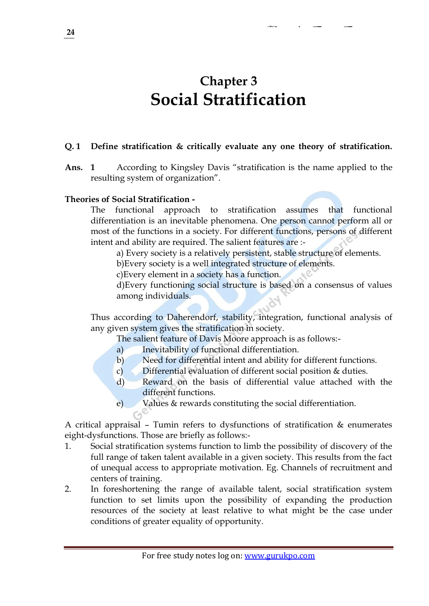## **Chapter 3 Social Stratification**

#### **Q. 1 Define stratification & critically evaluate any one theory of stratification.**

**Ans. 1** According to Kingsley Davis "stratification is the name applied to the resulting system of organization".

#### **Theories of Social Stratification -**

 $CA^{\mathcal{C}}$ 

The functional approach to stratification assumes that functional differentiation is an inevitable phenomena. One person cannot perform all or most of the functions in a society. For different functions, persons of different intent and ability are required. The salient features are :-

a) Every society is a relatively persistent, stable structure of elements.

b)Every society is a well integrated structure of elements.

c)Every element in a society has a function.

d)Every functioning social structure is based on a consensus of values among individuals.

Thus according to Daherendorf, stability, integration, functional analysis of any given system gives the stratification in society.

The salient feature of Davis Moore approach is as follows:-

- a) Inevitability of functional differentiation.
- b) Need for differential intent and ability for different functions.
- c) Differential evaluation of different social position & duties.
- d) Reward on the basis of differential value attached with the different functions.
- e) Values & rewards constituting the social differentiation.

A critical appraisal – Tumin refers to dysfunctions of stratification & enumerates eight-dysfunctions. Those are briefly as follows:-

- 1. Social stratification systems function to limb the possibility of discovery of the full range of taken talent available in a given society. This results from the fact of unequal access to appropriate motivation. Eg. Channels of recruitment and centers of training.
- 2. In foreshortening the range of available talent, social stratification system function to set limits upon the possibility of expanding the production resources of the society at least relative to what might be the case under conditions of greater equality of opportunity.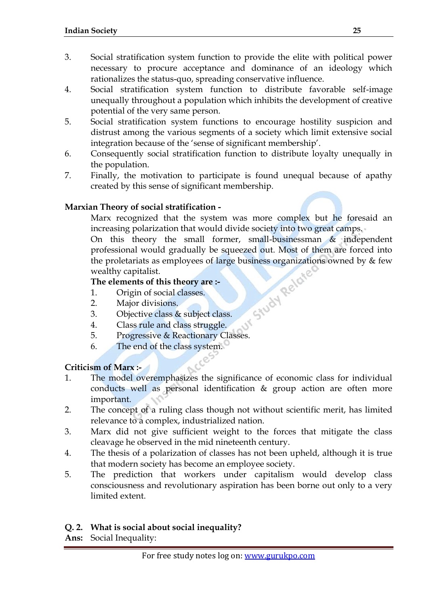- 3. Social stratification system function to provide the elite with political power necessary to procure acceptance and dominance of an ideology which rationalizes the status-quo, spreading conservative influence.
- 4. Social stratification system function to distribute favorable self-image unequally throughout a population which inhibits the development of creative potential of the very same person.
- 5. Social stratification system functions to encourage hostility suspicion and distrust among the various segments of a society which limit extensive social integration because of the "sense of significant membership".
- 6. Consequently social stratification function to distribute loyalty unequally in the population.
- 7. Finally, the motivation to participate is found unequal because of apathy created by this sense of significant membership.

#### **Marxian Theory of social stratification -**

Marx recognized that the system was more complex but he foresaid an increasing polarization that would divide society into two great camps.

On this theory the small former, small-businessman & independent professional would gradually be squeezed out. Most of them are forced into the proletariats as employees of large business organizations owned by & few<br>wealthy capitalist.<br>The elements of this theory are :-<br>1. Origin of social classes.<br>2. Major divisions.<br>3. Objective class & subject -1<br>4. Class wealthy capitalist.

#### **The elements of this theory are :-**

- 1. Origin of social classes.
- 2. Major divisions.
- 3. Objective class & subject class.
- 4. Class rule and class struggle.
- 5. Progressive & Reactionary Classes.
- 6. The end of the class system.

#### **Criticism of Marx :-**

- 1. The model overemphasizes the significance of economic class for individual conducts well as personal identification & group action are often more important.
- 2. The concept of a ruling class though not without scientific merit, has limited relevance to a complex, industrialized nation.
- 3. Marx did not give sufficient weight to the forces that mitigate the class cleavage he observed in the mid nineteenth century.
- 4. The thesis of a polarization of classes has not been upheld, although it is true that modern society has become an employee society.
- 5. The prediction that workers under capitalism would develop class consciousness and revolutionary aspiration has been borne out only to a very limited extent.

#### **Q. 2. What is social about social inequality?**

**Ans:** Social Inequality: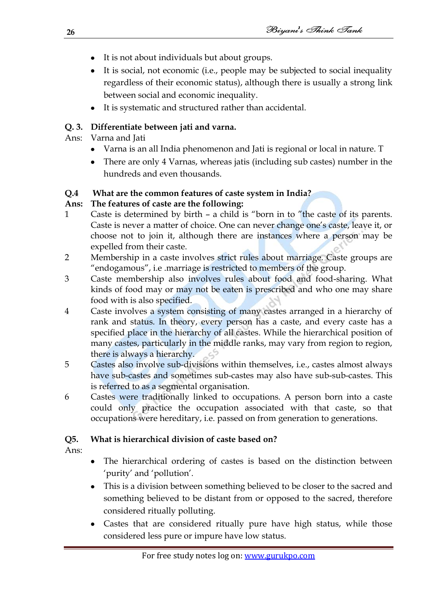- It is not about individuals but about groups.
- It is social, not economic (i.e., people may be subjected to social inequality regardless of their economic status), although there is usually a strong link between social and economic inequality.
- It is systematic and structured rather than accidental.

#### **Q. 3. Differentiate between jati and varna.**

Ans: Varna and Jati

- Varna is an all India phenomenon and Jati is regional or local in nature. T
- There are only 4 Varnas, whereas jatis (including sub castes) number in the hundreds and even thousands.

#### **Q.4 What are the common features of caste system in India?**

#### **Ans: The features of caste are the following:**

- 1 Caste is determined by birth a child is "born in to "the caste of its parents. Caste is never a matter of choice. One can never change one"s caste, leave it, or choose not to join it, although there are instances where a person may be expelled from their caste.
- 2 Membership in a caste involves strict rules about marriage. Caste groups are "endogamous", i.e .marriage is restricted to members of the group.
- 3 Caste membership also involves rules about food and food-sharing. What kinds of food may or may not be eaten is prescribed and who one may share food with is also specified.
- 4 Caste involves a system consisting of many castes arranged in a hierarchy of rank and status. In theory, every person has a caste, and every caste has a specified place in the hierarchy of all castes. While the hierarchical position of many castes, particularly in the middle ranks, may vary from region to region, there is always a hierarchy.
- 5 Castes also involve sub-divisions within themselves, i.e., castes almost always have sub-castes and sometimes sub-castes may also have sub-sub-castes. This is referred to as a segmental organisation.
- 6 Castes were traditionally linked to occupations. A person born into a caste could only practice the occupation associated with that caste, so that occupations were hereditary, i.e. passed on from generation to generations.

#### **Q5. What is hierarchical division of caste based on?**

Ans:

- The hierarchical ordering of castes is based on the distinction between 'purity' and 'pollution'.
- This is a division between something believed to be closer to the sacred and something believed to be distant from or opposed to the sacred, therefore considered ritually polluting.
- Castes that are considered ritually pure have high status, while those considered less pure or impure have low status.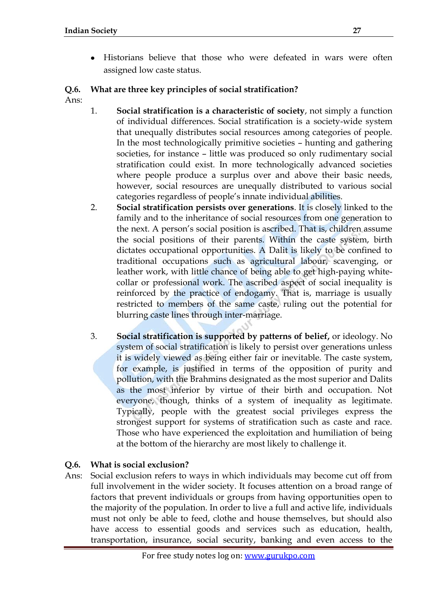Historians believe that those who were defeated in wars were often assigned low caste status.

#### **Q.6. What are three key principles of social stratification?**

Ans:

- 1. **Social stratification is a characteristic of society**, not simply a function of individual differences. Social stratification is a society-wide system that unequally distributes social resources among categories of people. In the most technologically primitive societies – hunting and gathering societies, for instance – little was produced so only rudimentary social stratification could exist. In more technologically advanced societies where people produce a surplus over and above their basic needs, however, social resources are unequally distributed to various social categories regardless of people"s innate individual abilities.
- 2. **Social stratification persists over generations**. It is closely linked to the family and to the inheritance of social resources from one generation to the next. A person's social position is ascribed. That is, children assume the social positions of their parents. Within the caste system, birth dictates occupational opportunities. A Dalit is likely to be confined to traditional occupations such as agricultural labour, scavenging, or leather work, with little chance of being able to get high-paying whitecollar or professional work. The ascribed aspect of social inequality is reinforced by the practice of endogamy. That is, marriage is usually restricted to members of the same caste, ruling out the potential for blurring caste lines through inter-marriage.
- 3. **Social stratification is supported by patterns of belief,** or ideology. No system of social stratification is likely to persist over generations unless it is widely viewed as being either fair or inevitable. The caste system, for example, is justified in terms of the opposition of purity and pollution, with the Brahmins designated as the most superior and Dalits as the most inferior by virtue of their birth and occupation. Not everyone, though, thinks of a system of inequality as legitimate. Typically, people with the greatest social privileges express the strongest support for systems of stratification such as caste and race. Those who have experienced the exploitation and humiliation of being at the bottom of the hierarchy are most likely to challenge it.

#### **Q.6. What is social exclusion?**

Ans: Social exclusion refers to ways in which individuals may become cut off from full involvement in the wider society. It focuses attention on a broad range of factors that prevent individuals or groups from having opportunities open to the majority of the population. In order to live a full and active life, individuals must not only be able to feed, clothe and house themselves, but should also have access to essential goods and services such as education, health, transportation, insurance, social security, banking and even access to the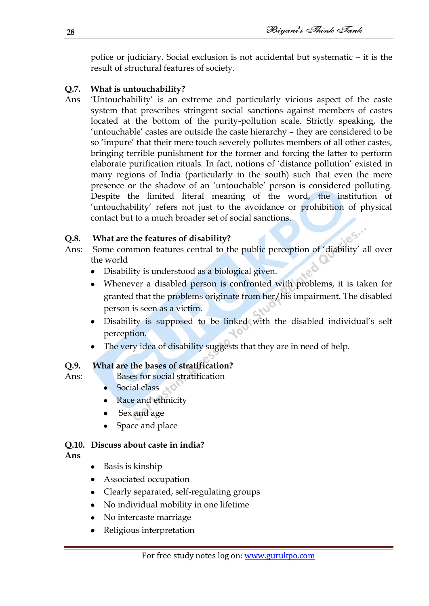police or judiciary. Social exclusion is not accidental but systematic – it is the result of structural features of society.

#### **Q.7. What is untouchability?**

Ans "Untouchability" is an extreme and particularly vicious aspect of the caste system that prescribes stringent social sanctions against members of castes located at the bottom of the purity-pollution scale. Strictly speaking, the "untouchable" castes are outside the caste hierarchy – they are considered to be so 'impure' that their mere touch severely pollutes members of all other castes, bringing terrible punishment for the former and forcing the latter to perform elaborate purification rituals. In fact, notions of "distance pollution" existed in many regions of India (particularly in the south) such that even the mere presence or the shadow of an "untouchable" person is considered polluting. Despite the limited literal meaning of the word, the institution of "untouchability" refers not just to the avoidance or prohibition of physical contact but to a much broader set of social sanctions.

#### **Q.8. What are the features of disability?**

- Ans: Some common features central to the public perception of "diability" all over the world
	- Disability is understood as a biological given.
	- Whenever a disabled person is confronted with problems, it is taken for granted that the problems originate from her/his impairment. The disabled person is seen as a victim.
	- Disability is supposed to be linked with the disabled individual"s self perception.
	- The very idea of disability suggests that they are in need of help.

#### **Q.9. What are the bases of stratification?**

- Ans: Bases for social stratification
	- Social class
	- Race and ethnicity
	- Sex and age
	- Space and place

#### **Q.10. Discuss about caste in india?**

**Ans**

- Basis is kinship
- Associated occupation
- Clearly separated, self-regulating groups
- No individual mobility in one lifetime
- No intercaste marriage
- Religious interpretation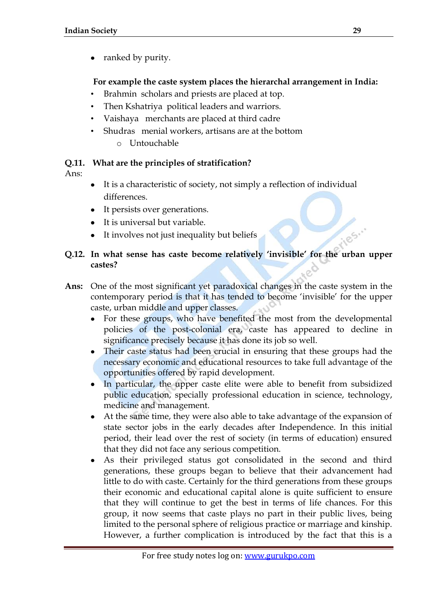ranked by purity.

#### **For example the caste system places the hierarchal arrangement in India:**

- Brahmin scholars and priests are placed at top.
- Then Kshatriya political leaders and warriors.
- Vaishaya merchants are placed at third cadre
- Shudras menial workers, artisans are at the bottom
	- o Untouchable

#### **Q.11. What are the principles of stratification?**

Ans:

- It is a characteristic of society, not simply a reflection of individual differences.
- It persists over generations.
- It is universal but variable.  $\bullet$
- It involves not just inequality but beliefs

#### **Q.12. In what sense has caste become relatively 'invisible' for the urban upper castes?**

- **Ans:** One of the most significant yet paradoxical changes in the caste system in the contemporary period is that it has tended to become "invisible" for the upper caste, urban middle and upper classes.
	- For these groups, who have benefited the most from the developmental policies of the post-colonial era, caste has appeared to decline in significance precisely because it has done its job so well.
	- Their caste status had been crucial in ensuring that these groups had the necessary economic and educational resources to take full advantage of the opportunities offered by rapid development.
	- In particular, the upper caste elite were able to benefit from subsidized public education, specially professional education in science, technology, medicine and management.
	- At the same time, they were also able to take advantage of the expansion of state sector jobs in the early decades after Independence. In this initial period, their lead over the rest of society (in terms of education) ensured that they did not face any serious competition.
	- As their privileged status got consolidated in the second and third generations, these groups began to believe that their advancement had little to do with caste. Certainly for the third generations from these groups their economic and educational capital alone is quite sufficient to ensure that they will continue to get the best in terms of life chances. For this group, it now seems that caste plays no part in their public lives, being limited to the personal sphere of religious practice or marriage and kinship. However, a further complication is introduced by the fact that this is a

105.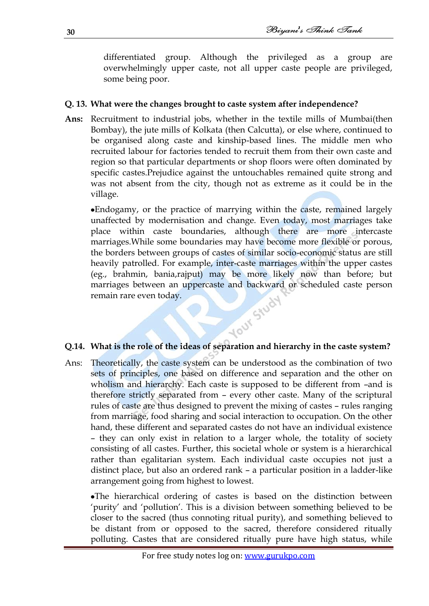differentiated group. Although the privileged as a group are overwhelmingly upper caste, not all upper caste people are privileged, some being poor.

#### **Q. 13. What were the changes brought to caste system after independence?**

**Ans:** Recruitment to industrial jobs, whether in the textile mills of Mumbai(then Bombay), the jute mills of Kolkata (then Calcutta), or else where, continued to be organised along caste and kinship-based lines. The middle men who recruited labour for factories tended to recruit them from their own caste and region so that particular departments or shop floors were often dominated by specific castes.Prejudice against the untouchables remained quite strong and was not absent from the city, though not as extreme as it could be in the village.

Endogamy, or the practice of marrying within the caste, remained largely unaffected by modernisation and change. Even today, most marriages take place within caste boundaries, although there are more intercaste marriages.While some boundaries may have become more flexible or porous, the borders between groups of castes of similar socio-economic status are still heavily patrolled. For example, inter-caste marriages within the upper castes (eg., brahmin, bania,rajput) may be more likely now than before; but marriages between an uppercaste and backward or scheduled caste person<br>remain rare even today.<br>All the scheduled caste person in the set of the scheduled caste person in the scheduled caste person in the scheduled caste pe remain rare even today.

#### **Q.14. What is the role of the ideas of separation and hierarchy in the caste system?**

Ans: Theoretically, the caste system can be understood as the combination of two sets of principles, one based on difference and separation and the other on wholism and hierarchy. Each caste is supposed to be different from -and is therefore strictly separated from – every other caste. Many of the scriptural rules of caste are thus designed to prevent the mixing of castes – rules ranging from marriage, food sharing and social interaction to occupation. On the other hand, these different and separated castes do not have an individual existence – they can only exist in relation to a larger whole, the totality of society consisting of all castes. Further, this societal whole or system is a hierarchical rather than egalitarian system. Each individual caste occupies not just a distinct place, but also an ordered rank – a particular position in a ladder-like arrangement going from highest to lowest.

The hierarchical ordering of castes is based on the distinction between "purity" and "pollution". This is a division between something believed to be closer to the sacred (thus connoting ritual purity), and something believed to be distant from or opposed to the sacred, therefore considered ritually polluting. Castes that are considered ritually pure have high status, while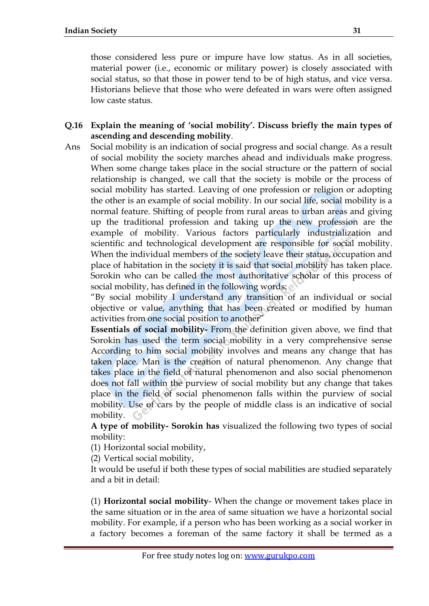those considered less pure or impure have low status. As in all societies, material power (i.e., economic or military power) is closely associated with social status, so that those in power tend to be of high status, and vice versa. Historians believe that those who were defeated in wars were often assigned low caste status.

#### **Q.16 Explain the meaning of 'social mobility'. Discuss briefly the main types of ascending and descending mobility**.

Ans Social mobility is an indication of social progress and social change. As a result of social mobility the society marches ahead and individuals make progress. When some change takes place in the social structure or the pattern of social relationship is changed, we call that the society is mobile or the process of social mobility has started. Leaving of one profession or religion or adopting the other is an example of social mobility. In our social life, social mobility is a normal feature. Shifting of people from rural areas to urban areas and giving up the traditional profession and taking up the new profession are the example of mobility. Various factors particularly industrialization and scientific and technological development are responsible for social mobility. When the individual members of the society leave their status, occupation and place of habitation in the society it is said that social mobility has taken place. Sorokin who can be called the most authoritative scholar of this process of social mobility, has defined in the following words:

"By social mobility I understand any transition of an individual or social objective or value, anything that has been created or modified by human activities from one social position to another"

**Essentials of social mobility-** From the definition given above, we find that Sorokin has used the term social mobility in a very comprehensive sense According to him social mobility involves and means any change that has taken place. Man is the creation of natural phenomenon. Any change that takes place in the field of natural phenomenon and also social phenomenon does not fall within the purview of social mobility but any change that takes place in the field of social phenomenon falls within the purview of social mobility. Use of cars by the people of middle class is an indicative of social mobility.

**A type of mobility- Sorokin has** visualized the following two types of social mobility:

(1) Horizontal social mobility,

(2) Vertical social mobility,

It would be useful if both these types of social mabilities are studied separately and a bit in detail:

(1) **Horizontal social mobility**- When the change or movement takes place in the same situation or in the area of same situation we have a horizontal social mobility. For example, if a person who has been working as a social worker in a factory becomes a foreman of the same factory it shall be termed as a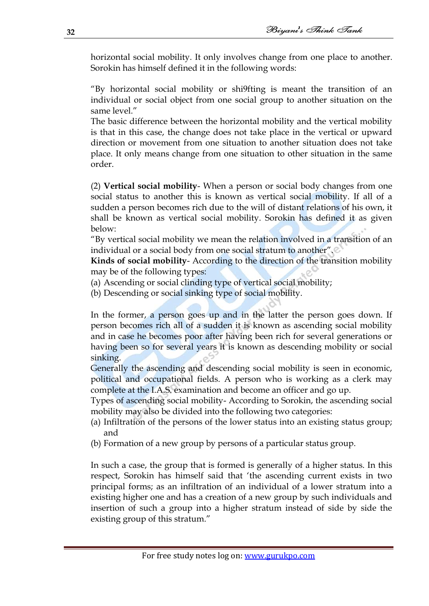horizontal social mobility. It only involves change from one place to another. Sorokin has himself defined it in the following words:

"By horizontal social mobility or shi9fting is meant the transition of an individual or social object from one social group to another situation on the same level."

The basic difference between the horizontal mobility and the vertical mobility is that in this case, the change does not take place in the vertical or upward direction or movement from one situation to another situation does not take place. It only means change from one situation to other situation in the same order.

(2) **Vertical social mobility**- When a person or social body changes from one social status to another this is known as vertical social mobility. If all of a sudden a person becomes rich due to the will of distant relations of his own, it shall be known as vertical social mobility. Sorokin has defined it as given below:

"By vertical social mobility we mean the relation involved in a transition of an individual or a social body from one social stratum to another".

**Kinds of social mobility**- According to the direction of the transition mobility may be of the following types:

(a) Ascending or social clinding type of vertical social mobility;

(b) Descending or social sinking type of social mobility.

In the former, a person goes up and in the latter the person goes down. If person becomes rich all of a sudden it is known as ascending social mobility and in case he becomes poor after having been rich for several generations or having been so for several years it is known as descending mobility or social sinking.

Generally the ascending and descending social mobility is seen in economic, political and occupational fields. A person who is working as a clerk may complete at the I.A.S. examination and become an officer and go up.

Types of ascending social mobility- According to Sorokin, the ascending social mobility may also be divided into the following two categories:

- (a) Infiltration of the persons of the lower status into an existing status group; and
- (b) Formation of a new group by persons of a particular status group.

In such a case, the group that is formed is generally of a higher status. In this respect, Sorokin has himself said that "the ascending current exists in two principal forms; as an infiltration of an individual of a lower stratum into a existing higher one and has a creation of a new group by such individuals and insertion of such a group into a higher stratum instead of side by side the existing group of this stratum."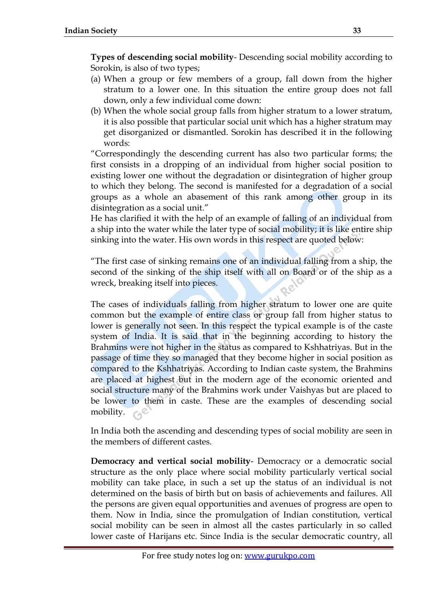**Types of descending social mobility**- Descending social mobility according to Sorokin, is also of two types;

- (a) When a group or few members of a group, fall down from the higher stratum to a lower one. In this situation the entire group does not fall down, only a few individual come down:
- (b) When the whole social group falls from higher stratum to a lower stratum, it is also possible that particular social unit which has a higher stratum may get disorganized or dismantled. Sorokin has described it in the following words:

"Correspondingly the descending current has also two particular forms; the first consists in a dropping of an individual from higher social position to existing lower one without the degradation or disintegration of higher group to which they belong. The second is manifested for a degradation of a social groups as a whole an abasement of this rank among other group in its disintegration as a social unit."

He has clarified it with the help of an example of falling of an individual from a ship into the water while the later type of social mobility; it is like entire ship sinking into the water. His own words in this respect are quoted below:

"The first case of sinking remains one of an individual falling from a ship, the second of the sinking of the ship itself with all on Board or of the ship as a wreck, breaking itself into pieces.

The cases of individuals falling from higher stratum to lower one are quite common but the example of entire class or group fall from higher status to lower is generally not seen. In this respect the typical example is of the caste system of India. It is said that in the beginning according to history the Brahmins were not higher in the status as compared to Kshhatriyas. But in the passage of time they so managed that they become higher in social position as compared to the Kshhatriyas. According to Indian caste system, the Brahmins are placed at highest but in the modern age of the economic oriented and social structure many of the Brahmins work under Vaishyas but are placed to be lower to them in caste. These are the examples of descending social mobility.

In India both the ascending and descending types of social mobility are seen in the members of different castes.

**Democracy and vertical social mobility**- Democracy or a democratic social structure as the only place where social mobility particularly vertical social mobility can take place, in such a set up the status of an individual is not determined on the basis of birth but on basis of achievements and failures. All the persons are given equal opportunities and avenues of progress are open to them. Now in India, since the promulgation of Indian constitution, vertical social mobility can be seen in almost all the castes particularly in so called lower caste of Harijans etc. Since India is the secular democratic country, all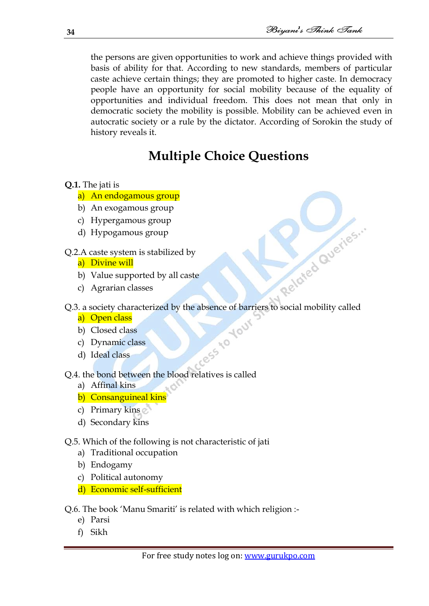the persons are given opportunities to work and achieve things provided with basis of ability for that. According to new standards, members of particular caste achieve certain things; they are promoted to higher caste. In democracy people have an opportunity for social mobility because of the equality of opportunities and individual freedom. This does not mean that only in democratic society the mobility is possible. Mobility can be achieved even in autocratic society or a rule by the dictator. According of Sorokin the study of history reveals it.

## **Multiple Choice Questions**

- **Q.1.** The jati is
	- a) An endogamous group
	- b) An exogamous group
	- c) Hypergamous group
	- d) Hypogamous group
- Q.2.A caste system is stabilized by
	- a) Divine will
	- b) Value supported by all caste
	- c) Agrarian classes

Solution of the absence of barriers to social mobility called<br>
a) Value supported by all caste<br>
c) Agrarian classes<br>
Q.3. a society characterized by the absence of barriers to social mobility called<br>
a) Open class<br>
c) Dyna

- a) Open class
- b) Closed class
- c) Dynamic class
- d) Ideal class
- Q.4. the bond between the blood relatives is called
	- a) Affinal kins
	- b) Consanguineal kins
	- c) Primary kins
	- d) Secondary kins
- Q.5. Which of the following is not characteristic of jati
	- a) Traditional occupation
	- b) Endogamy
	- c) Political autonomy
	- d) Economic self-sufficient

Q.6. The book 'Manu Smariti' is related with which religion :-

- e) Parsi
- f) Sikh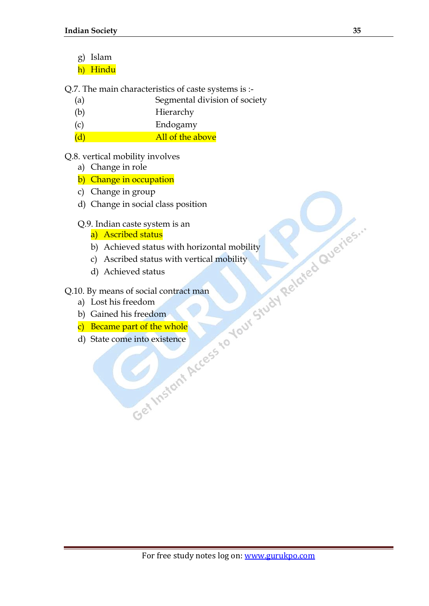- g) Islam
- h) Hindu

Q.7. The main characteristics of caste systems is :-

- (a) Segmental division of society
- (b) Hierarchy
- (c) Endogamy
- (d) All of the above

Q.8. vertical mobility involves

a) Change in role

b) Change in occupation

- 
- d) Change in social class position

#### Q.9. Indian caste system is an

- a) Ascribed status
- c) Change in group<br>
d) Change in social class position<br>
Q.9. Indian caste system is an<br>
a) Addiscuted status with horizontal mobility<br>
c) Addiscuted status with vertical mobility<br>
d) Achieved status<br>
d) Achieved status<br>
0 b) Achieved status with horizontal mobility
	- c) Ascribed status with vertical mobility
	- d) Achieved status

#### Q.10. By means of social contract man

- a) Lost his freedom
- b) Gained his freedom
- c) Became part of the whole
- d) State come into existence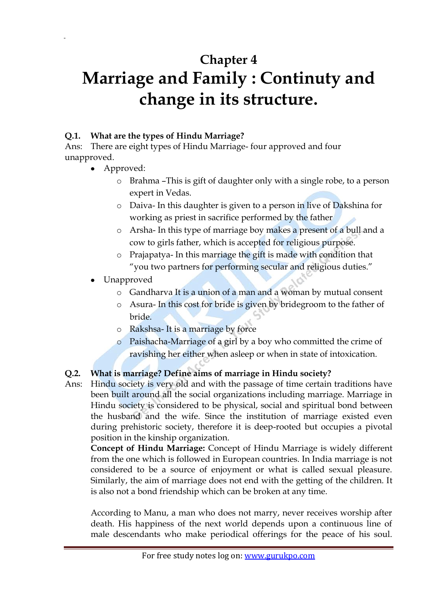## **Chapter 4 Marriage and Family : Continuty and change in its structure.**

#### **Q.1. What are the types of Hindu Marriage?**

Ans: There are eight types of Hindu Marriage- four approved and four unapproved.

- Approved:
	- o Brahma –This is gift of daughter only with a single robe, to a person expert in Vedas.
	- o Daiva- In this daughter is given to a person in live of Dakshina for working as priest in sacrifice performed by the father
	- o Arsha- In this type of marriage boy makes a present of a bull and a cow to girls father, which is accepted for religious purpose.
	- o Prajapatya- In this marriage the gift is made with condition that "you two partners for performing secular and religious duties."
- Unapproved
	- o Gandharva It is a union of a man and a woman by mutual consent
	- o Asura- In this cost for bride is given by bridegroom to the father of bride.
	- o Rakshsa- It is a marriage by force
	- o Paishacha-Marriage of a girl by a boy who committed the crime of ravishing her either when asleep or when in state of intoxication.

#### **Q.2. What is marriage? Define aims of marriage in Hindu society?**

Ans: Hindu society is very old and with the passage of time certain traditions have been built around all the social organizations including marriage. Marriage in Hindu society is considered to be physical, social and spiritual bond between the husband and the wife. Since the institution of marriage existed even during prehistoric society, therefore it is deep-rooted but occupies a pivotal position in the kinship organization.

**Concept of Hindu Marriage:** Concept of Hindu Marriage is widely different from the one which is followed in European countries. In India marriage is not considered to be a source of enjoyment or what is called sexual pleasure. Similarly, the aim of marriage does not end with the getting of the children. It is also not a bond friendship which can be broken at any time.

According to Manu, a man who does not marry, never receives worship after death. His happiness of the next world depends upon a continuous line of male descendants who make periodical offerings for the peace of his soul.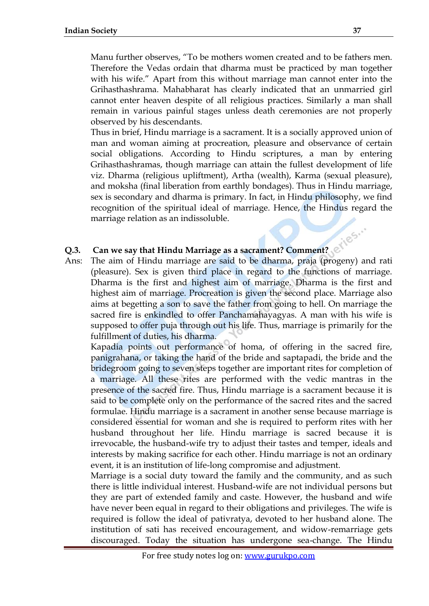Manu further observes, "To be mothers women created and to be fathers men. Therefore the Vedas ordain that dharma must be practiced by man together with his wife." Apart from this without marriage man cannot enter into the Grihasthashrama. Mahabharat has clearly indicated that an unmarried girl cannot enter heaven despite of all religious practices. Similarly a man shall remain in various painful stages unless death ceremonies are not properly observed by his descendants.

Thus in brief, Hindu marriage is a sacrament. It is a socially approved union of man and woman aiming at procreation, pleasure and observance of certain social obligations. According to Hindu scriptures, a man by entering Grihasthashramas, though marriage can attain the fullest development of life viz. Dharma (religious upliftment), Artha (wealth), Karma (sexual pleasure), and moksha (final liberation from earthly bondages). Thus in Hindu marriage, sex is secondary and dharma is primary. In fact, in Hindu philosophy, we find recognition of the spiritual ideal of marriage. Hence, the Hindus regard the marriage relation as an indissoluble. 1185.1

#### **Q.3. Can we say that Hindu Marriage as a sacrament? Comment?**

Ans: The aim of Hindu marriage are said to be dharma, praja (progeny) and rati (pleasure). Sex is given third place in regard to the functions of marriage. Dharma is the first and highest aim of marriage. Dharma is the first and highest aim of marriage. Procreation is given the second place. Marriage also aims at begetting a son to save the father from going to hell. On marriage the sacred fire is enkindled to offer Panchamahayagyas. A man with his wife is supposed to offer puja through out his life. Thus, marriage is primarily for the fulfillment of duties, his dharma.

Kapadia points out performance of homa, of offering in the sacred fire, panigrahana, or taking the hand of the bride and saptapadi, the bride and the bridegroom going to seven steps together are important rites for completion of a marriage. All these rites are performed with the vedic mantras in the presence of the sacred fire. Thus, Hindu marriage is a sacrament because it is said to be complete only on the performance of the sacred rites and the sacred formulae. Hindu marriage is a sacrament in another sense because marriage is considered essential for woman and she is required to perform rites with her husband throughout her life. Hindu marriage is sacred because it is irrevocable, the husband-wife try to adjust their tastes and temper, ideals and interests by making sacrifice for each other. Hindu marriage is not an ordinary event, it is an institution of life-long compromise and adjustment.

Marriage is a social duty toward the family and the community, and as such there is little individual interest. Husband-wife are not individual persons but they are part of extended family and caste. However, the husband and wife have never been equal in regard to their obligations and privileges. The wife is required is follow the ideal of pativratya, devoted to her husband alone. The institution of sati has received encouragement, and widow-remarriage gets discouraged. Today the situation has undergone sea-change. The Hindu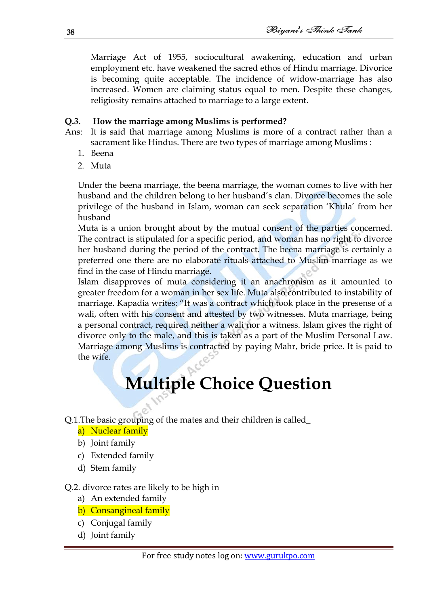Marriage Act of 1955, sociocultural awakening, education and urban employment etc. have weakened the sacred ethos of Hindu marriage. Divorice is becoming quite acceptable. The incidence of widow-marriage has also increased. Women are claiming status equal to men. Despite these changes, religiosity remains attached to marriage to a large extent.

#### **Q.3. How the marriage among Muslims is performed?**

- Ans: It is said that marriage among Muslims is more of a contract rather than a sacrament like Hindus. There are two types of marriage among Muslims :
	- 1. Beena
	- 2. Muta

Under the beena marriage, the beena marriage, the woman comes to live with her husband and the children belong to her husband"s clan. Divorce becomes the sole privilege of the husband in Islam, woman can seek separation "Khula" from her husband

Muta is a union brought about by the mutual consent of the parties concerned. The contract is stipulated for a specific period, and woman has no right to divorce her husband during the period of the contract. The beena marriage is certainly a preferred one there are no elaborate rituals attached to Muslim marriage as we find in the case of Hindu marriage.

Islam disapproves of muta considering it an anachronism as it amounted to greater freedom for a woman in her sex life. Muta also contributed to instability of marriage. Kapadia writes: "It was a contract which took place in the presense of a wali, often with his consent and attested by two witnesses. Muta marriage, being a personal contract, required neither a wali nor a witness. Islam gives the right of divorce only to the male, and this is taken as a part of the Muslim Personal Law. Marriage among Muslims is contracted by paying Mahr, bride price. It is paid to the wife.

## **Multiple Choice Question**

Q.1.The basic grouping of the mates and their children is called\_

- a) Nuclear family
- b) Joint family
- c) Extended family
- d) Stem family

#### Q.2. divorce rates are likely to be high in

- a) An extended family
- b) Consangineal family
- c) Conjugal family
- d) Joint family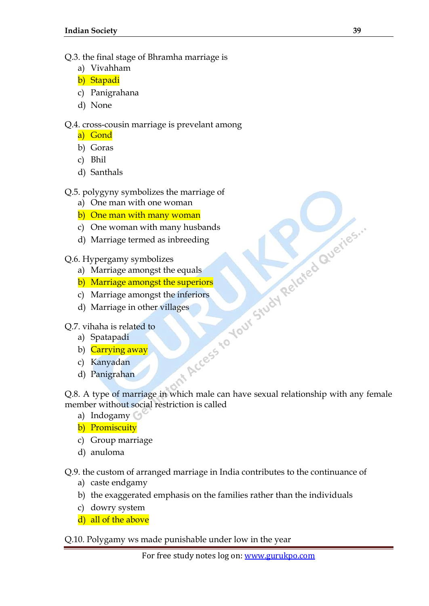#### Q.3. the final stage of Bhramha marriage is

- a) Vivahham
- b) Stapadi
- c) Panigrahana
- d) None

Q.4. cross-cousin marriage is prevelant among

- a) Gond
- b) Goras
- c) Bhil
- d) Santhals

- a) One man with one woman
- b) One man with many woman
- c) One woman with many husbands
- d) Marriage termed as inbreeding

#### Q.6. Hypergamy symbolizes

- a) Marriage amongst the equals
- b) Marriage amongst the superiors
- c) Marriage amongst the inferiors
- d) Marriage in other villages

#### Q.7. vihaha is related to

- a) Spatapadi
- b) Carrying away
- c) Kanyadan
- d) Panigrahan

Q.5. polygyny symbolizes the marriage of<br>
a) One man with one woman<br>
c) One woman with many woman<br>
c) One woman with many husbands<br>
d) Marriage termed as inbreeding<br>
Q.6. Hypergamy symbolizes<br>
a) Marriage amongst the equa Q.8. A type of marriage in which male can have sexual relationship with any female member without social restriction is called

- a) Indogamy
- b) Promiscuity
- c) Group marriage
- d) anuloma

Q.9. the custom of arranged marriage in India contributes to the continuance of

- a) caste endgamy
- b) the exaggerated emphasis on the families rather than the individuals
- c) dowry system
- d) all of the above

Q.10. Polygamy ws made punishable under low in the year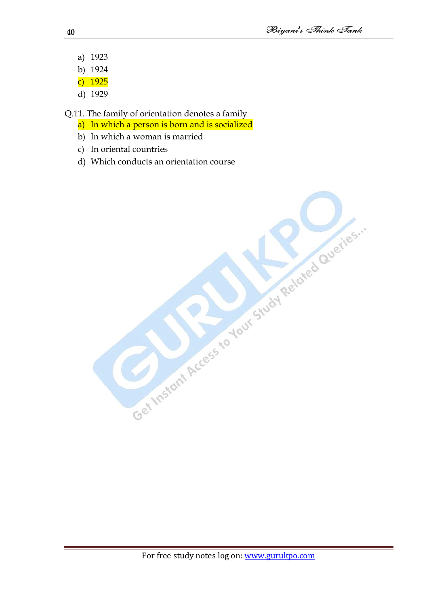- a) 1923
- b) 1924
- c) 1925
- d) 1929

Q.11. The family of orientation denotes a family

- a) In which a person is born and is socialized
- b) In which a woman is married
- c) In oriental countries
- d) Which conducts an orientation course

Get Instant Access to Your Study Related Queries.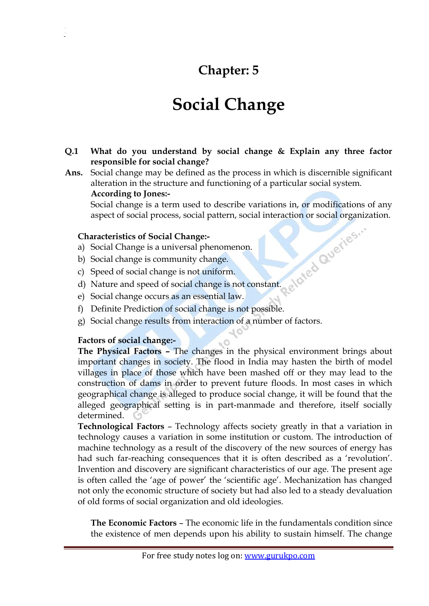## **Chapter: 5**

**Indian Society 41**

## **Social Change**

- **Q.1 What do you understand by social change & Explain any three factor responsible for social change?**
- **Ans.** Social change may be defined as the process in which is discernible significant alteration in the structure and functioning of a particular social system. **According to Jones:-**

Social change is a term used to describe variations in, or modifications of any aspect of social process, social pattern, social interaction or social organization.

#### **Characteristics of Social Change:-**

- a) Social Change is a universal phenomenon.
- b) Social change is community change.
- c) Speed of social change is not uniform.
- d) Nature and speed of social change is not constant.
- e) Social change occurs as an essential law.
- f) Definite Prediction of social change is not possible.
- g) Social change results from interaction of a number of factors.

#### **Factors of social change:-**

**The Physical Factors –** The changes in the physical environment brings about important changes in society. The flood in India may hasten the birth of model villages in place of those which have been mashed off or they may lead to the construction of dams in order to prevent future floods. In most cases in which geographical change is alleged to produce social change, it will be found that the alleged geographical setting is in part-manmade and therefore, itself socially determined.

 $\circ$ 

**Technological Factors** – Technology affects society greatly in that a variation in technology causes a variation in some institution or custom. The introduction of machine technology as a result of the discovery of the new sources of energy has had such far-reaching consequences that it is often described as a 'revolution'. Invention and discovery are significant characteristics of our age. The present age is often called the 'age of power' the 'scientific age'. Mechanization has changed not only the economic structure of society but had also led to a steady devaluation of old forms of social organization and old ideologies.

**The Economic Factors** – The economic life in the fundamentals condition since the existence of men depends upon his ability to sustain himself. The change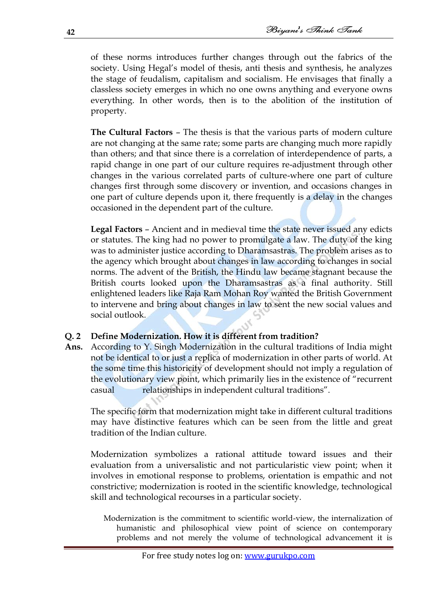of these norms introduces further changes through out the fabrics of the society. Using Hegal's model of thesis, anti thesis and synthesis, he analyzes the stage of feudalism, capitalism and socialism. He envisages that finally a classless society emerges in which no one owns anything and everyone owns everything. In other words, then is to the abolition of the institution of property.

**The Cultural Factors** – The thesis is that the various parts of modern culture are not changing at the same rate; some parts are changing much more rapidly than others; and that since there is a correlation of interdependence of parts, a rapid change in one part of our culture requires re-adjustment through other changes in the various correlated parts of culture-where one part of culture changes first through some discovery or invention, and occasions changes in one part of culture depends upon it, there frequently is a delay in the changes occasioned in the dependent part of the culture.

**Legal Factors** – Ancient and in medieval time the state never issued any edicts or statutes. The king had no power to promulgate a law. The duty of the king was to administer justice according to Dharamsastras. The problem arises as to the agency which brought about changes in law according to changes in social norms. The advent of the British, the Hindu law became stagnant because the British courts looked upon the Dharamsastras as a final authority. Still enlightened leaders like Raja Ram Mohan Roy wanted the British Government to intervene and bring about changes in law to sent the new social values and social outlook.

#### **Q. 2 Define Modernization. How it is different from tradition?**

**Ans.** According to Y. Singh Modernization in the cultural traditions of India might not be identical to or just a replica of modernization in other parts of world. At the some time this historicity of development should not imply a regulation of the evolutionary view point, which primarily lies in the existence of "recurrent casual relationships in independent cultural traditions".

The specific form that modernization might take in different cultural traditions may have distinctive features which can be seen from the little and great tradition of the Indian culture.

Modernization symbolizes a rational attitude toward issues and their evaluation from a universalistic and not particularistic view point; when it involves in emotional response to problems, orientation is empathic and not constrictive; modernization is rooted in the scientific knowledge, technological skill and technological recourses in a particular society.

Modernization is the commitment to scientific world-view, the internalization of humanistic and philosophical view point of science on contemporary problems and not merely the volume of technological advancement it is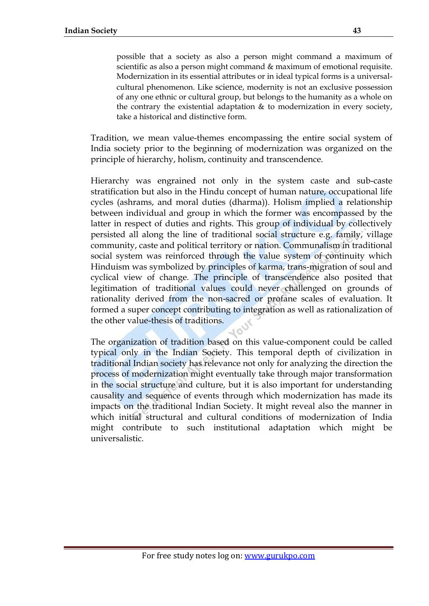possible that a society as also a person might command a maximum of scientific as also a person might command & maximum of emotional requisite. Modernization in its essential attributes or in ideal typical forms is a universalcultural phenomenon. Like science, modernity is not an exclusive possession of any one ethnic or cultural group, but belongs to the humanity as a whole on the contrary the existential adaptation  $\⊂>$  to modernization in every society, take a historical and distinctive form.

Tradition, we mean value-themes encompassing the entire social system of India society prior to the beginning of modernization was organized on the principle of hierarchy, holism, continuity and transcendence.

Hierarchy was engrained not only in the system caste and sub-caste stratification but also in the Hindu concept of human nature, occupational life cycles (ashrams, and moral duties (dharma)). Holism implied a relationship between individual and group in which the former was encompassed by the latter in respect of duties and rights. This group of individual by collectively persisted all along the line of traditional social structure e.g. family, village community, caste and political territory or nation. Communalism in traditional social system was reinforced through the value system of continuity which Hinduism was symbolized by principles of karma, trans-migration of soul and cyclical view of change. The principle of transcendence also posited that legitimation of traditional values could never challenged on grounds of rationality derived from the non-sacred or profane scales of evaluation. It formed a super concept contributing to integration as well as rationalization of the other value-thesis of traditions.

The organization of tradition based on this value-component could be called typical only in the Indian Society. This temporal depth of civilization in traditional Indian society has relevance not only for analyzing the direction the process of modernization might eventually take through major transformation in the social structure and culture, but it is also important for understanding causality and sequence of events through which modernization has made its impacts on the traditional Indian Society. It might reveal also the manner in which initial structural and cultural conditions of modernization of India might contribute to such institutional adaptation which might be universalistic.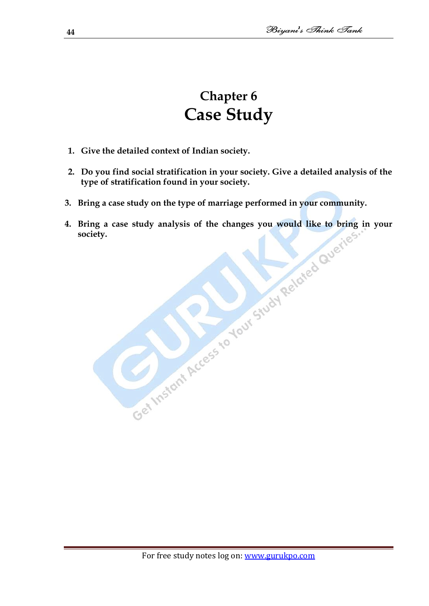## **Chapter 6 Case Study**

- **1. Give the detailed context of Indian society.**
- **2. Do you find social stratification in your society. Give a detailed analysis of the type of stratification found in your society.**
- **3. Bring a case study on the type of marriage performed in your community.**
- **4. Bring a case study analysis of the changes you would like to bring in your society. society.**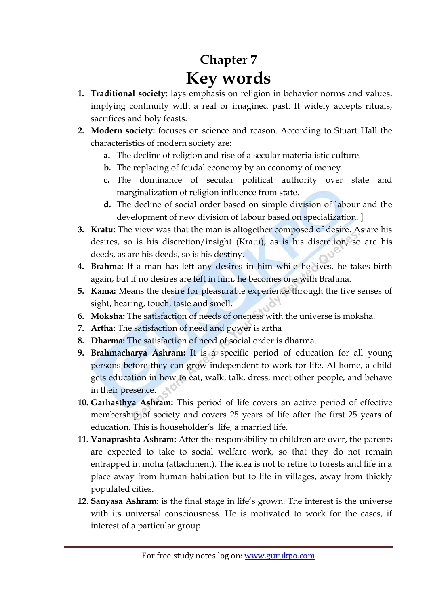## **Chapter 7 Key words**

- **1. Traditional society:** lays emphasis on religion in behavior norms and values, implying continuity with a real or imagined past. It widely accepts rituals, sacrifices and holy feasts.
- **2. Modern society:** focuses on science and reason. According to Stuart Hall the characteristics of modern society are:
	- **a.** The decline of religion and rise of a secular materialistic culture.
	- **b.** The replacing of feudal economy by an economy of money.
	- **c.** The dominance of secular political authority over state and marginalization of religion influence from state.
	- **d.** The decline of social order based on simple division of labour and the development of new division of labour based on specialization. ]
- **3. Kratu:** The view was that the man is altogether composed of desire. As are his desires, so is his discretion/insight (Kratu); as is his discretion, so are his deeds, as are his deeds, so is his destiny.
- **4. Brahma:** If a man has left any desires in him while he lives, he takes birth again, but if no desires are left in him, he becomes one with Brahma.
- **5. Kama:** Means the desire for pleasurable experience through the five senses of sight, hearing, touch, taste and smell.
- **6. Moksha:** The satisfaction of needs of oneness with the universe is moksha.
- **7. Artha:** The satisfaction of need and power is artha
- **8. Dharma:** The satisfaction of need of social order is dharma.
- **9. Brahmacharya Ashram:** It is a specific period of education for all young persons before they can grow independent to work for life. Al home, a child gets education in how to eat, walk, talk, dress, meet other people, and behave in their presence.
- **10. Garhasthya Ashram:** This period of life covers an active period of effective membership of society and covers 25 years of life after the first 25 years of education. This is householder's life, a married life.
- **11. Vanaprashta Ashram:** After the responsibility to children are over, the parents are expected to take to social welfare work, so that they do not remain entrapped in moha (attachment). The idea is not to retire to forests and life in a place away from human habitation but to life in villages, away from thickly populated cities.
- **12. Sanyasa Ashram:** is the final stage in life"s grown. The interest is the universe with its universal consciousness. He is motivated to work for the cases, if interest of a particular group.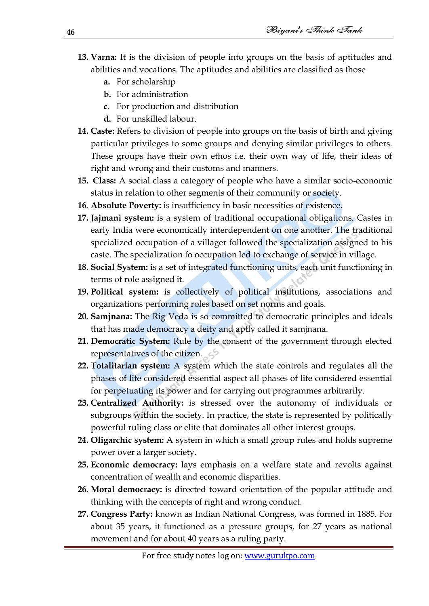- **13. Varna:** It is the division of people into groups on the basis of aptitudes and abilities and vocations. The aptitudes and abilities are classified as those
	- **a.** For scholarship
	- **b.** For administration
	- **c.** For production and distribution
	- **d.** For unskilled labour.
- **14. Caste:** Refers to division of people into groups on the basis of birth and giving particular privileges to some groups and denying similar privileges to others. These groups have their own ethos i.e. their own way of life, their ideas of right and wrong and their customs and manners.
- **15. Class:** A social class a category of people who have a similar socio-economic status in relation to other segments of their community or society.
- **16. Absolute Poverty:** is insufficiency in basic necessities of existence.
- **17. Jajmani system:** is a system of traditional occupational obligations. Castes in early India were economically interdependent on one another. The traditional specialized occupation of a villager followed the specialization assigned to his caste. The specialization fo occupation led to exchange of service in village.
- **18. Social System:** is a set of integrated functioning units, each unit functioning in terms of role assigned it.
- **19. Political system:** is collectively of political institutions, associations and organizations performing roles based on set norms and goals.
- **20. Samjnana:** The Rig Veda is so committed to democratic principles and ideals that has made democracy a deity and aptly called it samjnana.
- **21. Democratic System:** Rule by the consent of the government through elected representatives of the citizen.
- **22. Totalitarian system:** A system which the state controls and regulates all the phases of life considered essential aspect all phases of life considered essential for perpetuating its power and for carrying out programmes arbitrarily.
- **23. Centralized Authority:** is stressed over the autonomy of individuals or subgroups within the society. In practice, the state is represented by politically powerful ruling class or elite that dominates all other interest groups.
- **24. Oligarchic system:** A system in which a small group rules and holds supreme power over a larger society.
- **25. Economic democracy:** lays emphasis on a welfare state and revolts against concentration of wealth and economic disparities.
- **26. Moral democracy:** is directed toward orientation of the popular attitude and thinking with the concepts of right and wrong conduct.
- **27. Congress Party:** known as Indian National Congress, was formed in 1885. For about 35 years, it functioned as a pressure groups, for 27 years as national movement and for about 40 years as a ruling party.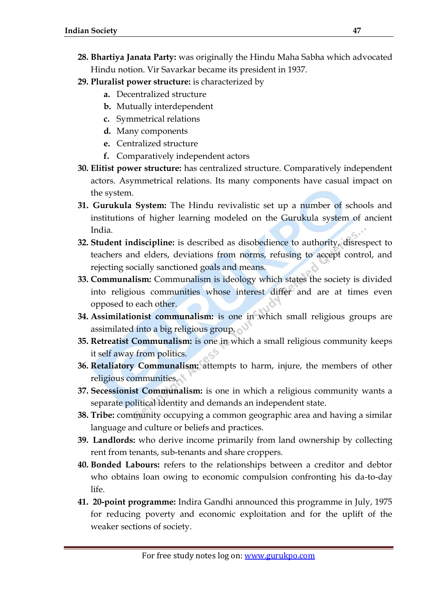- **28. Bhartiya Janata Party:** was originally the Hindu Maha Sabha which advocated Hindu notion. Vir Savarkar became its president in 1937.
- **29. Pluralist power structure:** is characterized by
	- **a.** Decentralized structure
	- **b.** Mutually interdependent
	- **c.** Symmetrical relations
	- **d.** Many components
	- **e.** Centralized structure
	- **f.** Comparatively independent actors
- **30. Elitist power structure:** has centralized structure. Comparatively independent actors. Asymmetrical relations. Its many components have casual impact on the system.
- **31. Gurukula System:** The Hindu revivalistic set up a number of schools and institutions of higher learning modeled on the Gurukula system of ancient India.
- **32. Student indiscipline:** is described as disobedience to authority, disrespect to teachers and elders, deviations from norms, refusing to accept control, and rejecting socially sanctioned goals and means.
- **33. Communalism:** Communalism is ideology which states the society is divided into religious communities whose interest differ and are at times even opposed to each other.
- **34. Assimilationist communalism:** is one in which small religious groups are assimilated into a big religious group.
- **35. Retreatist Communalism:** is one in which a small religious community keeps it self away from politics.
- **36. Retaliatory Communalism:** attempts to harm, injure, the members of other religious communities.
- **37. Secessionist Communalism:** is one in which a religious community wants a separate political identity and demands an independent state.
- **38. Tribe:** community occupying a common geographic area and having a similar language and culture or beliefs and practices.
- **39. Landlords:** who derive income primarily from land ownership by collecting rent from tenants, sub-tenants and share croppers.
- **40. Bonded Labours:** refers to the relationships between a creditor and debtor who obtains loan owing to economic compulsion confronting his da-to-day life.
- **41. 20-point programme:** Indira Gandhi announced this programme in July, 1975 for reducing poverty and economic exploitation and for the uplift of the weaker sections of society.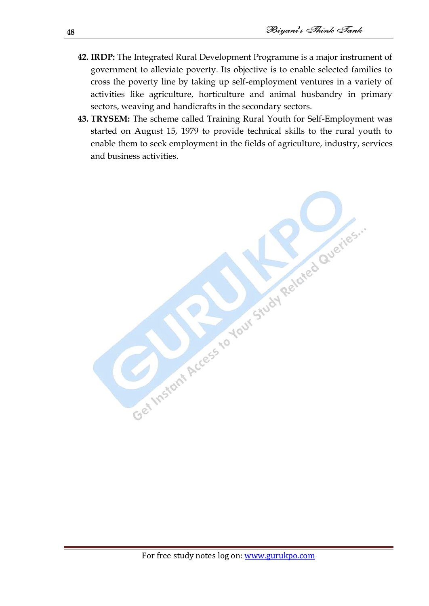- **42. IRDP:** The Integrated Rural Development Programme is a major instrument of government to alleviate poverty. Its objective is to enable selected families to cross the poverty line by taking up self-employment ventures in a variety of activities like agriculture, horticulture and animal husbandry in primary sectors, weaving and handicrafts in the secondary sectors.
- **43. TRYSEM:** The scheme called Training Rural Youth for Self-Employment was started on August 15, 1979 to provide technical skills to the rural youth to enable them to seek employment in the fields of agriculture, industry, services and business activities.

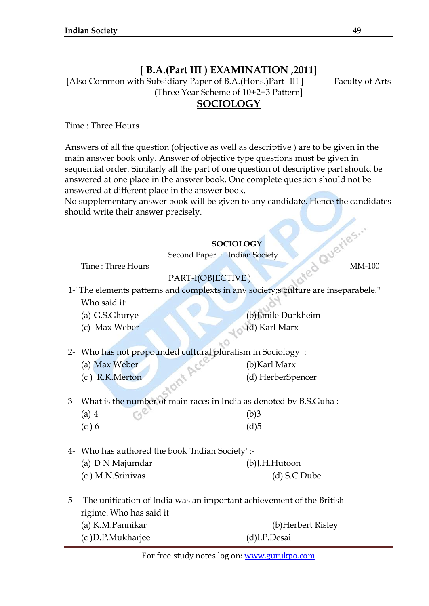#### **[ B.A.(Part III ) EXAMINATION ,2011]**

[Also Common with Subsidiary Paper of B.A.(Hons.)Part -III ] Faculty of Arts (Three Year Scheme of 10+2+3 Pattern] **SOCIOLOGY**

Time : Three Hours

Answers of all the question (objective as well as descriptive ) are to be given in the main answer book only. Answer of objective type questions must be given in sequential order. Similarly all the part of one question of descriptive part should be answered at one place in the answer book. One complete question should not be answered at different place in the answer book.

No supplementary answer book will be given to any candidate. Hence the candidates should write their answer precisely.

#### **SOCIOLOGY**

Second Paper : Indian Society Second Paper : Indian Society<br>
Time : Three Hours<br>
PART-I/ORIECTERE

#### PART-I(OBJECTIVE )

- 1-''The elements patterns and complexts in any society;s culture are inseparabele.'' Who said it:
	-
	-

(a) G.S.Ghurye (b)Emile Durkheim (c) Max Weber (d) Karl Marx

2- Who has not propounded cultural pluralism in Sociology :

| (a) Max Weber  | (b)Karl Marx      |
|----------------|-------------------|
| (c) R.K.Merton | (d) HerberSpencer |

3- What is the number of main races in India as denoted by B.S.Guha :-

| $(a)$ 4 | (b)3 |
|---------|------|
| (c) 6   | (d)5 |

- 4- Who has authored the book 'Indian Society' :- (a) D N Majumdar (b)J.H.Hutoon (c ) M.N.Srinivas (d) S.C.Dube
- 5- 'The unification of India was an important achievement of the British rigime.'Who has said it (a) K.M.Pannikar (b)Herbert Risley (c )D.P.Mukharjee (d)I.P.Desai

For free study notes log on: www.gurukpo.com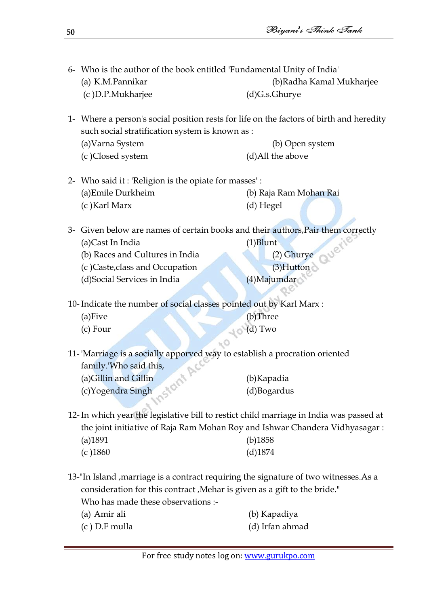6- Who is the author of the book entitled 'Fundamental Unity of India' (a) K.M.Pannikar (b)Radha Kamal Mukharjee (c )D.P.Mukharjee (d)G.s.Ghurye

1- Where a person's social position rests for life on the factors of birth and heredity such social stratification system is known as : (a)Varna System (b) Open system (c )Closed system (d)All the above

2- Who said it : 'Religion is the opiate for masses' : (a)Emile Durkheim (b) Raja Ram Mohan Rai (c )Karl Marx (d) Hegel

3- Given below are names of certain books and their authors,Pair them correctly (a)Cast In India (1)Blunt (b) Races and Cultures in India (2) Ghurye (c )Caste,class and Occupation (3)Hutton (d)Social Services in India (4)Majumdar

- 10-Indicate the number of social classes pointed out by Karl Marx : (a)Five (b)Three (c) Four (d) Two
- 11- 'Marriage is a socially apporved way to establish a procration oriented family.'Who said this, (a)Gillin and Gillin (b)Kapadia (c)Yogendra Singh (d)Bogardus
- 12-In which year the legislative bill to restict child marriage in India was passed at the joint initiative of Raja Ram Mohan Roy and Ishwar Chandera Vidhyasagar : (a)1891 (b)1858 (c )1860 (d)1874
- 13-"In Island ,marriage is a contract requiring the signature of two witnesses.As a consideration for this contract ,Mehar is given as a gift to the bride." Who has made these observations :-
	- (a) Amir ali (b) Kapadiya
	- (c ) D.F mulla (d) Irfan ahmad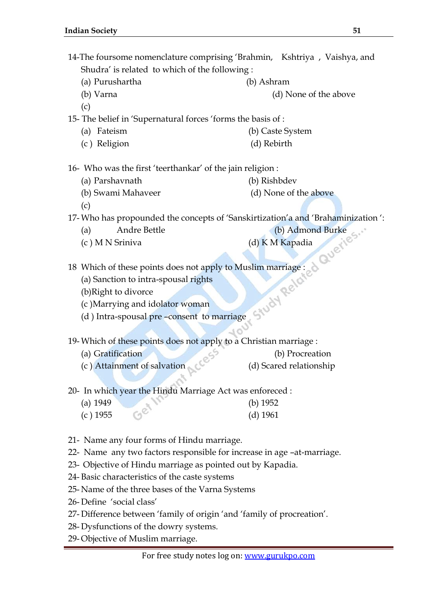- (a) Purushartha (b) Ashram
- (b) Varna (d) None of the above
- (c)

15- The belief in "Supernatural forces "forms the basis of :

- (a) Fateism (b) Caste System
- (c ) Religion (d) Rebirth

16- Who was the first 'teerthankar' of the jain religion :

- (a) Parshavnath (b) Rishbdev
- (b) Swami Mahaveer (d) None of the above
- (c)

17- Who has propounded the concepts of "Sanskirtization"a and "Brahaminization ":

- (a) Andre Bettle (b) Admond Burke
- (c ) M N Sriniva (d) K M Kapadia

- 18 Which of these points does not apply to Muslim marriage :
	- (a) Sanction to intra-spousal rights
	- (b)Right to divorce
	- (c )Marrying and idolator woman
	- (d ) Intra-spousal pre –consent to marriage

19- Which of these points does not apply to a Christian marriage :

| (a) Gratification           | (b) Procreation         |
|-----------------------------|-------------------------|
| (c) Attainment of salvation | (d) Scared relationship |

- 20- In which year the Hindu Marriage Act was enforeced :
	- (a) 1949 (b) 1952 (c)  $1955$  (d)  $1961$
- 21- Name any four forms of Hindu marriage.
- 22- Name any two factors responsible for increase in age –at-marriage.
- 23- Objective of Hindu marriage as pointed out by Kapadia.
- 24- Basic characteristics of the caste systems
- 25- Name of the three bases of the Varna Systems
- 26- Define "social class"
- 27- Difference between "family of origin "and "family of procreation".
- 28- Dysfunctions of the dowry systems.
- 29- Objective of Muslim marriage.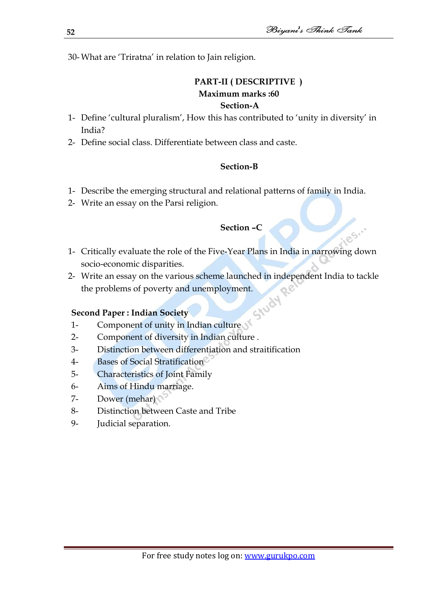30- What are "Triratna" in relation to Jain religion.

#### **PART-II ( DESCRIPTIVE ) Maximum marks :60 Section-A**

- 1- Define "cultural pluralism", How this has contributed to "unity in diversity" in India?
- 2- Define social class. Differentiate between class and caste.

#### **Section-B**

- 1- Describe the emerging structural and relational patterns of family in India.
- 2- Write an essay on the Parsi religion.

#### **Section –C**

- 1- Critically evaluate the role of the Five-Year Plans in India in narrowing down socio-economic disparities.
- 2- Write an essay on the various scheme launched in independent India to tackle the problems of poverty and unemployment.<br> **Cond Paper : Indian Society**

#### **Second Paper : Indian Society**

- 1- Component of unity in Indian culture
- 2- Component of diversity in Indian culture .
- 3- Distinction between differentiation and straitification
- 4- Bases of Social Stratification
- 5- Characteristics of Joint Family
- 6- Aims of Hindu marriage.
- 7- Dower (mehar)
- 8- Distinction between Caste and Tribe
- 9- Judicial separation.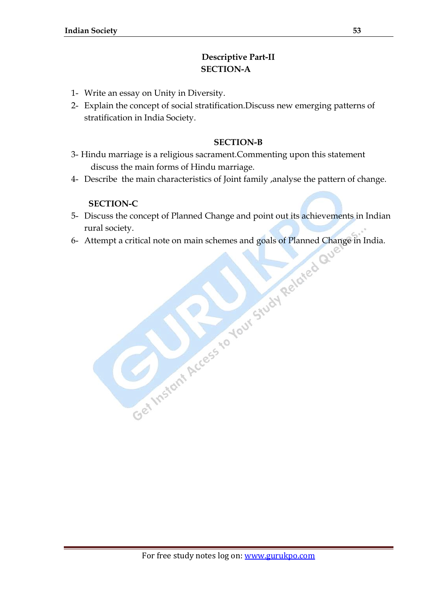#### **Descriptive Part-II SECTION-A**

- 1- Write an essay on Unity in Diversity.
- 2- Explain the concept of social stratification.Discuss new emerging patterns of stratification in India Society.

#### **SECTION-B**

- 3- Hindu marriage is a religious sacrament.Commenting upon this statement discuss the main forms of Hindu marriage.
- 4- Describe the main characteristics of Joint family ,analyse the pattern of change.

#### **SECTION-C**

- 5- Discuss the concept of Planned Change and point out its achievements in Indian
- rural society.<br>Attempt a critical note on main schemes and goals of Planned Chan<br>Attempt a critical note on main schemes and goals of Planned Chan<br>Attempt a critical note on main schemes and goals of Planned Chan 6- Attempt a critical note on main schemes and goals of Planned Change in India.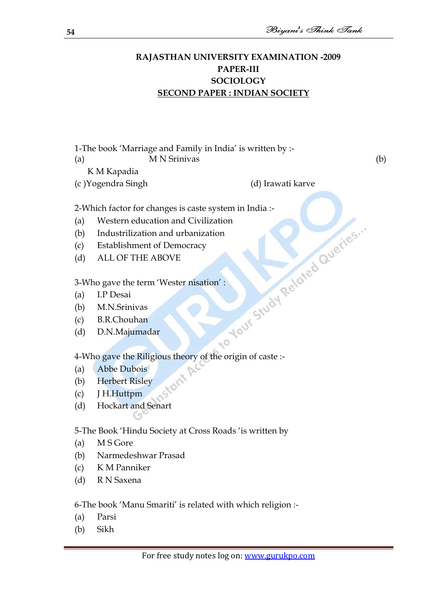#### **RAJASTHAN UNIVERSITY EXAMINATION -2009 PAPER-III SOCIOLOGY SECOND PAPER : INDIAN SOCIETY**

- 1-The book "Marriage and Family in India" is written by :-
- (a) M N Srinivas (b)
	- K M Kapadia
- (c )Yogendra Singh (d) Irawati karve

2-Which factor for changes is caste system in India :-<br>
(a) Western education and Civilization<br>
(b) Industrilization and urbanization<br>
(c) Establishment of Democracy<br>
3-Who gave the term 'Wester nisation' :<br>
(a) I.P Desai<br>

- (a) Western education and Civilization
- (b) Industrilization and urbanization
- (c) Establishment of Democracy
- (d) ALL OF THE ABOVE

#### 3-Who gave the term "Wester nisation" :

- (a) I.P Desai
- (b) M.N.Srinivas
- (c) B.R.Chouhan
- (d) D.N.Majumadar

#### 4-Who gave the Riligious theory of the origin of caste :-

 $\frac{1}{2}$ 

- (a) Abbe Dubois
- (b) Herbert Risley
- (c) J H.Huttpm
- (d) Hockart and Senart

#### 5-The Book "Hindu Society at Cross Roads "is written by

- (a) M S Gore
- (b) Narmedeshwar Prasad
- (c) K M Panniker
- (d) R N Saxena

#### 6-The book "Manu Smariti" is related with which religion :-

- (a) Parsi
- (b) Sikh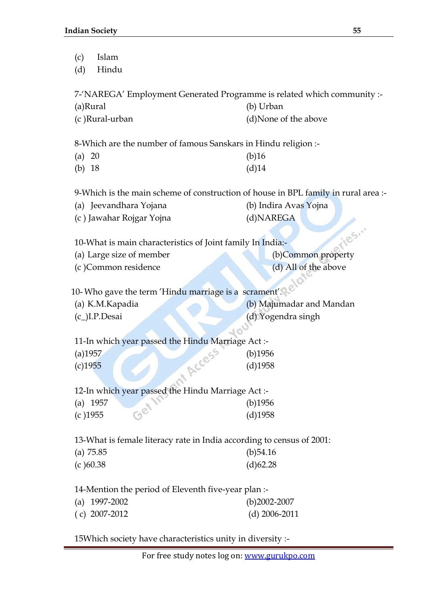| (c)<br>(d)               | Islam<br>Hindu                                                                                                                           |                                                       |  |
|--------------------------|------------------------------------------------------------------------------------------------------------------------------------------|-------------------------------------------------------|--|
| (a)Rural                 | 7-'NAREGA' Employment Generated Programme is related which community :-<br>(c)Rural-urban                                                | (b) Urban<br>(d) None of the above                    |  |
| (a) $20$<br>(b) $18$     | 8-Which are the number of famous Sanskars in Hindu religion :-                                                                           | $(b)$ 16<br>$(d)$ 14                                  |  |
|                          | 9-Which is the main scheme of construction of house in BPL family in rural area :-<br>(a) Jeevandhara Yojana<br>(c) Jawahar Rojgar Yojna | (b) Indira Avas Yojna<br>(d)NAREGA                    |  |
|                          | 10-What is main characteristics of Joint family In India:-<br>(a) Large size of member<br>(c)Common residence                            | 1185.00<br>(b)Common property<br>(d) All of the above |  |
|                          | 10- Who gave the term 'Hindu marriage is a scrament'.<br>(a) K.M.Kapadia<br>(c_)I.P.Desai                                                | (b) Majumadar and Mandan<br>(d) Yogendra singh        |  |
| $(a)$ 1957<br>(c)1955    | 11-In which year passed the Hindu Marriage Act :-<br>Access                                                                              | $(b)$ 1956<br>$(d)$ 1958                              |  |
| $(a)$ 1957<br>$(c)$ 1955 | 12-In which year passed the Hindu Marriage Act :-                                                                                        | $(b)$ 1956<br>$(d)$ 1958                              |  |
| (a) $75.85$<br>(c)60.38  | 13-What is female literacy rate in India according to census of 2001:                                                                    | $(b)$ 54.16<br>(d)62.28                               |  |
| (a)<br>$\left( c\right)$ | 14-Mention the period of Eleventh five-year plan :-<br>1997-2002<br>2007-2012                                                            | $(b)$ 2002-2007<br>$(d)$ 2006-2011                    |  |

15Which society have characteristics unity in diversity :-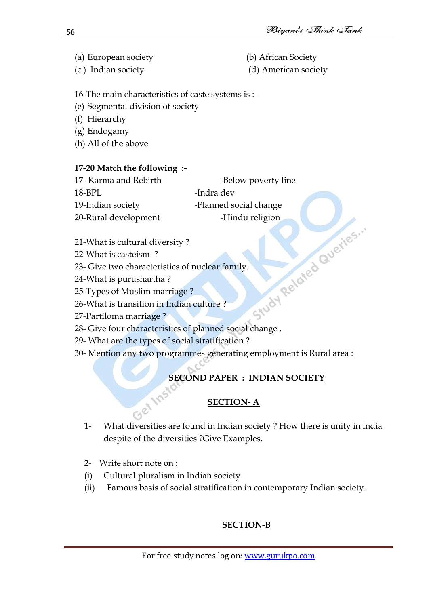- (a) European society (b) African Society
- 

(c ) Indian society (d) American society

16-The main characteristics of caste systems is :-

- (e) Segmental division of society
- (f) Hierarchy
- (g) Endogamy
- (h) All of the above

#### **17-20 Match the following :-**

| 17- Karma and Rebirth | -Below poverty line    |
|-----------------------|------------------------|
| $18-BPL$              | -Indra dev             |
| 19-Indian society     | -Planned social change |
| 20-Rural development  | -Hindu religion        |

- 21-What is cultural diversity ?
- 22-What is casteism ?
- 23- Give two characteristics of nuclear family.
- 24-What is purushartha ?
- 25-Types of Muslim marriage ?
- 26-What is transition in Indian culture ?
- 27-Partiloma marriage ?
- 28- Give four characteristics of planned social change .
- 29- What are the types of social stratification ?
- 30- Mention any two programmes generating employment is Rural area :

#### **SECOND PAPER : INDIAN SOCIETY**

#### **SECTION- A**

- Get 1- What diversities are found in Indian society ? How there is unity in india despite of the diversities ?Give Examples.
- 2- Write short note on :
- (i) Cultural pluralism in Indian society
- (ii) Famous basis of social stratification in contemporary Indian society.

#### **SECTION-B**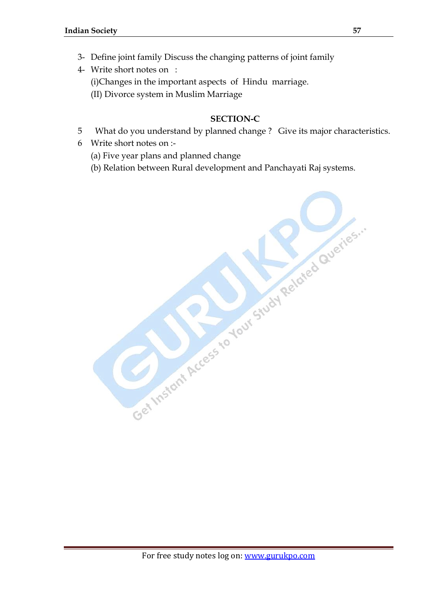- 3- Define joint family Discuss the changing patterns of joint family
- 4- Write short notes on : (i)Changes in the important aspects of Hindu marriage. (II) Divorce system in Muslim Marriage

#### **SECTION-C**

- 5 What do you understand by planned change ? Give its major characteristics.
- 6 Write short notes on :-
	- (a) Five year plans and planned change
	- (b) Relation between Rural development and Panchayati Raj systems.

Get Instant Access to Your Study Related Queries."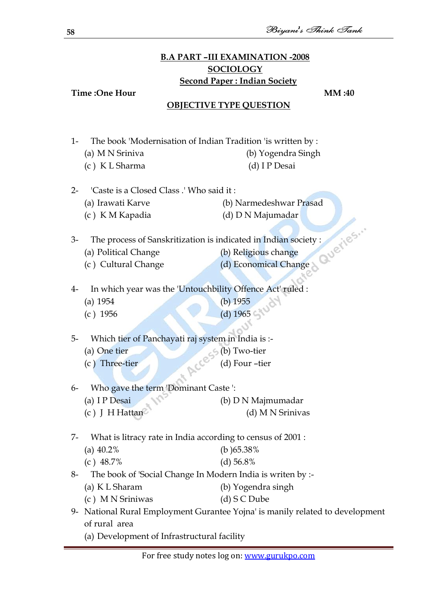#### **B.A PART –III EXAMINATION -2008 SOCIOLOGY Second Paper : Indian Society**

#### **Time :One Hour MM :40**

#### **OBJECTIVE TYPE QUESTION**

- 1- The book 'Modernisation of Indian Tradition 'is written by :
	- (a) M N Sriniva (b) Yogendra Singh
	- (c ) K L Sharma (d) I P Desai
- 
- 2- 'Caste is a Closed Class .' Who said it :
	-
- (a) Irawati Karve (b) Narmedeshwar Prasad
	- (c ) K M Kapadia (d) D N Majumadar

- 3- The process of Sanskritization is indicated in Indian society :<br>
(a) Political Change (b) Religious change (c) Cultural C<sup>L</sup> (a) Political Change (b) Religious change (c) Cultural Change (d) Economical Change
	-
- 
- 4- In which year was the 'Untouchbility Offence Act' ruled :
	- (a) 1954 (b) 1955
	- (c ) 1956 (d) 1965

- 5- Which tier of Panchayati raj system in India is :- (a) One tier (b) Two-tier
	- (c ) Three-tier (d) Four –tier
- 6- Who gave the term 'Dominant Caste ': (a) I P Desai (b) D N Majmumadar (c) J H Hattan (d) M N Srinivas
- 7- What is litracy rate in India according to census of 2001 :
	- (a)  $40.2\%$  (b)  $65.38\%$
	- (c ) 48.7% (d) 56.8%
- 8- The book of 'Social Change In Modern India is writen by :-
	- (a) K L Sharam (b) Yogendra singh
	- (c ) M N Sriniwas (d) S C Dube
- 9- National Rural Employment Gurantee Yojna' is manily related to development of rural area
	- (a) Development of Infrastructural facility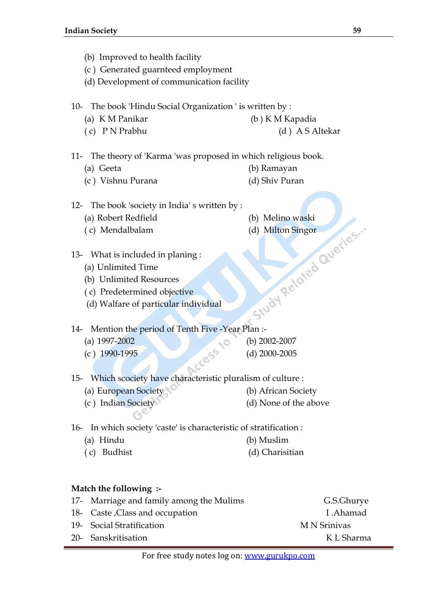- (b) Improved to health facility
- (c ) Generated guarnteed employment
- (d) Development of communication facility
- 10- The book 'Hindu Social Organization ' is written by :
	- (a) K M Panikar (b ) K M Kapadia
	- ( c) P N Prabhu (d ) A S Altekar
- 11- The theory of 'Karma 'was proposed in which religious book.
	- (a) Geeta (b) Ramayan
		-
	- (c ) Vishnu Purana (d) Shiv Puran
- 12- The book 'society in India' s written by :
	- (a) Robert Redfield (b) Melino waski
	-
- 
- ( c) Mendalbalam (d) Milton Singor
- 
- 13- What is included in planing :
	- (a) Unlimited Time
	- (b) Unlimited Resources
	- ( c) Predetermined objective
	- (d) Walfare of particular individual
- 14- Mention the period of Tenth Five -Year Plan :-
	-

- 
- (a) 1997-2002<br>
(c) 1990-1995<br>
(d) 2000-2005<br>
(d) 2000-2005 (c ) 1990-1995 (d) 2000-2005
- 15- Which scociety have characteristic pluralism of culture :
	- (a) European Society (b) African Society
		-
- 
- (c ) Indian Society (d) None of the above
- 16- In which society 'caste' is characteristic of stratification :
	- (a) Hindu (b) Muslim
	- ( c) Budhist (d) Charisitian

#### **Match the following :-**

| 17- Marriage and family among the Mulims | G.S.Ghurye   |
|------------------------------------------|--------------|
| 18- Caste, Class and occupation          | I.Ahamad     |
| 19- Social Stratification                | M N Srinivas |
| 20- Sanskritisation                      | K L Sharma   |

For free study notes log on: www.gurukpo.com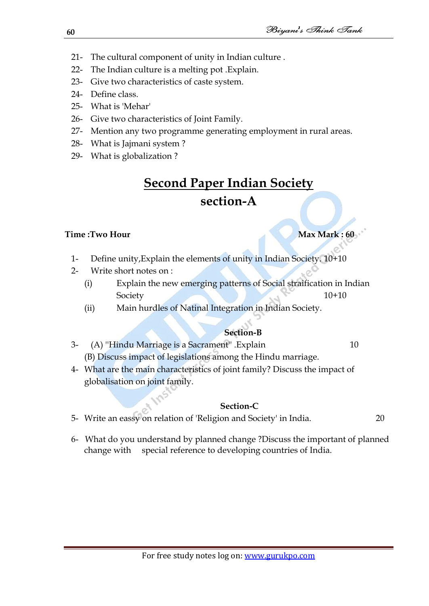- 21- The cultural component of unity in Indian culture .
- 22- The Indian culture is a melting pot .Explain.
- 23- Give two characteristics of caste system.
- 24- Define class.
- 25- What is 'Mehar'
- 26- Give two characteristics of Joint Family.
- 27- Mention any two programme generating employment in rural areas.
- 28- What is Jajmani system ?
- 29- What is globalization ?

## **Second Paper Indian Society section-A**

#### **Time :Two Hour Max Mark : 60**

#### 1- Define unity,Explain the elements of unity in Indian Society. 10+10

- 2- Write short notes on :
	- (i) Explain the new emerging patterns of Social straification in Indian Society 10+10
	- (ii) Main hurdles of Natinal Integration in Indian Society.

#### **Section-B**

- 3- (A) ''Hindu Marriage is a Sacrament'' .Explain 10 (B) Discuss impact of legislations among the Hindu marriage.
- 4- What are the main characteristics of joint family? Discuss the impact of globalisation on joint family.

#### **Section-C**

- 5- Write an eassy on relation of 'Religion and Society' in India. 20
- 6- What do you understand by planned change ?Discuss the important of planned change with special reference to developing countries of India.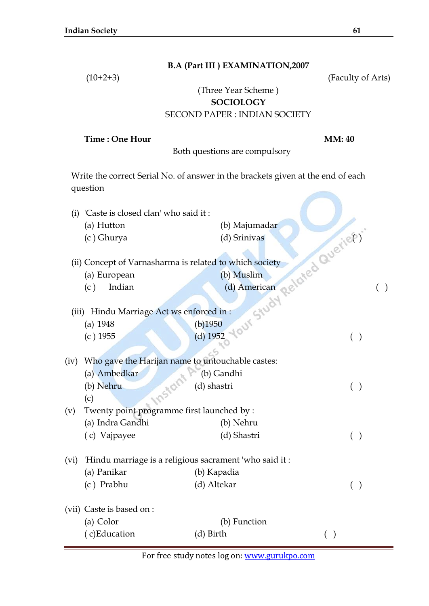|      |                                                                      | <b>B.A (Part III) EXAMINATION, 2007</b>                                                                                                   |                     |
|------|----------------------------------------------------------------------|-------------------------------------------------------------------------------------------------------------------------------------------|---------------------|
|      | $(10+2+3)$                                                           |                                                                                                                                           | (Faculty of Arts)   |
|      |                                                                      | (Three Year Scheme)                                                                                                                       |                     |
|      |                                                                      | <b>SOCIOLOGY</b>                                                                                                                          |                     |
|      |                                                                      | <b>SECOND PAPER: INDIAN SOCIETY</b>                                                                                                       |                     |
|      | <b>Time: One Hour</b>                                                |                                                                                                                                           | <b>MM: 40</b>       |
|      |                                                                      | Both questions are compulsory                                                                                                             |                     |
|      | question                                                             | Write the correct Serial No. of answer in the brackets given at the end of each                                                           |                     |
|      | (i) 'Caste is closed clan' who said it:                              |                                                                                                                                           |                     |
|      | (a) Hutton                                                           |                                                                                                                                           |                     |
|      | (c) Ghurya                                                           |                                                                                                                                           |                     |
|      |                                                                      |                                                                                                                                           |                     |
|      | (ii) Concept of Varnasharma is related to which society              |                                                                                                                                           |                     |
|      | (a) European                                                         |                                                                                                                                           |                     |
|      | Indian<br>(c)                                                        |                                                                                                                                           | $\lambda$           |
|      | (iii) Hindu Marriage Act ws enforced in:<br>(a) $1948$<br>$(c)$ 1955 | $\begin{pmatrix} 1 & 0 \\ 0 & 0 \end{pmatrix}$ Muslim<br>(d) American<br>(d) American<br>(d) American<br>(d) 1952<br>(d) 1952<br>(d) 1952 |                     |
|      | (iv) Who gave the Harijan name to untouchable castes:                |                                                                                                                                           |                     |
|      | (a) Ambedkar                                                         | (b) Gandhi                                                                                                                                |                     |
|      | (b) Nehru<br>Instan                                                  | (d) shastri                                                                                                                               |                     |
|      | (c)                                                                  |                                                                                                                                           |                     |
| (v)  | Twenty point programme first launched by :                           |                                                                                                                                           |                     |
|      | (a) Indra Gandhi                                                     | (b) Nehru                                                                                                                                 |                     |
|      | (c) Vajpayee                                                         | (d) Shastri                                                                                                                               | $\big)$<br>$\left($ |
| (vi) |                                                                      | 'Hindu marriage is a religious sacrament 'who said it :                                                                                   |                     |
|      | (a) Panikar                                                          | (b) Kapadia                                                                                                                               |                     |
|      | (c) Prabhu                                                           | (d) Altekar                                                                                                                               | $\big)$<br>$\left($ |
|      | (vii) Caste is based on :                                            |                                                                                                                                           |                     |
|      | (a) Color                                                            | (b) Function                                                                                                                              |                     |
|      | c)Education                                                          | (d) Birth                                                                                                                                 |                     |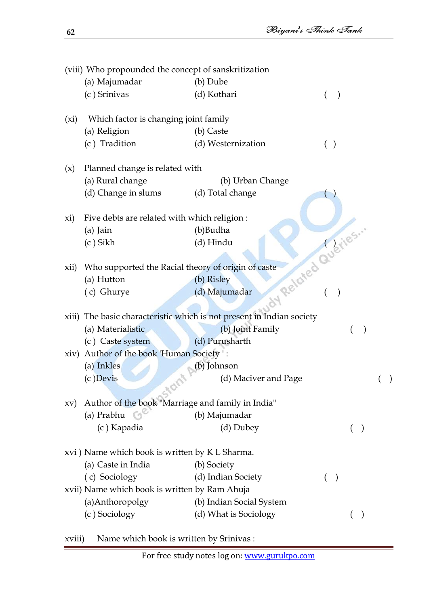(viii) Who propounded the concept of sanskritization (a) Majumadar (b) Dube (c ) Srinivas (d) Kothari ( ) (xi) Which factor is changing joint family (a) Religion (b) Caste (c ) Tradition (d) Westernization ( ) (x) Planned change is related with (a) Rural change (b) Urban Change (d) Change in slums (d) Total change (b) xi) Five debts are related with which religion : (a) Jain (b)Budha  $(c)$  Sikh (d) Hindu ( ) xii) Who supported the Racial theory of origin of caste (a) Hutton (b) Risley (c) Ghurye (d) Majumadar ( ) xiii) The basic characteristic which is not present in Indian society (a) Materialistic (b) Joint Family (c) (c ) Caste system (d) Purusharth xiv) Author of the book 'Human Society ' : (a) Inkles (b) Johnson (c )Devis (d) Maciver and Page ( ) xv) Author of the book "Marriage and family in India" (a) Prabhu (b) Majumadar (c ) Kapadia (d) Dubey ( ) xvi ) Name which book is written by K L Sharma. (a) Caste in India (b) Society ( c) Sociology (d) Indian Society ( ) xvii) Name which book is written by Ram Ahuja (a)Anthoropolgy (b) Indian Social System (c ) Sociology (d) What is Sociology ( )

xviii) Name which book is written by Srinivas :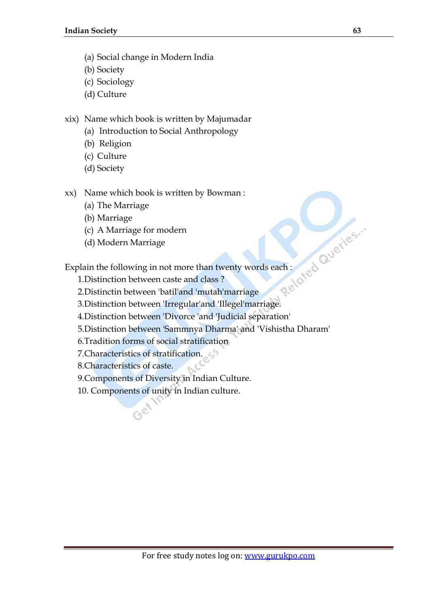- (a) Social change in Modern India
- (b) Society
- (c) Sociology
- (d) Culture

xix) Name which book is written by Majumadar

- (a) Introduction to Social Anthropology
- (b) Religion
- (c) Culture
- (d) Society
- xx) Name which book is written by Bowman :
	- (a) The Marriage
	- (b) Marriage
	- (c) A Marriage for modern
	- (d) Modern Marriage

Explain the following in not more than twenty words each :<br>
1.Distinction between caste and class ?<br>
2.Distinction between 'batil'and 'mark' :

1.Distinction between caste and class ?

2.Distinctin between 'batil'and 'mutah'marriage

3.Distinction between 'Irregular'and 'Illegel'marriage.

4.Distinction between 'Divorce 'and 'Judicial separation'

5.Distinction between 'Sammnya Dharma' and 'Vishistha Dharam'

6.Tradition forms of social stratification

7.Characteristics of stratification.

 $G^{\mathcal{C}}$ 

8.Characteristics of caste.

9.Components of Diversity in Indian Culture.

10. Components of unity in Indian culture.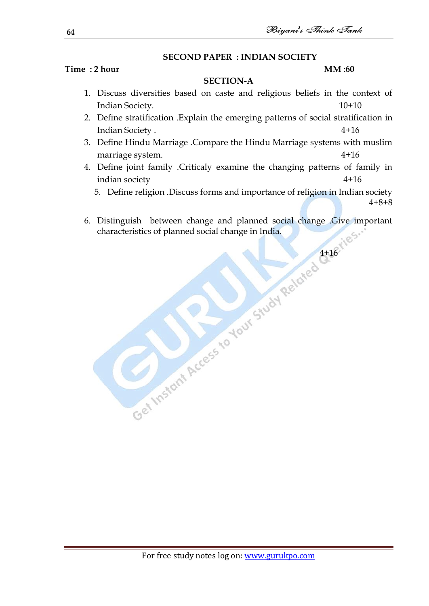4+16

#### **SECOND PAPER : INDIAN SOCIETY**

#### **Time : 2 hour MM :60**

#### **SECTION-A**

- 1. Discuss diversities based on caste and religious beliefs in the context of Indian Society. 10+10
- 2. Define stratification .Explain the emerging patterns of social stratification in Indian Society .  $4+16$
- 3. Define Hindu Marriage .Compare the Hindu Marriage systems with muslim marriage system. 4+16
- 4. Define joint family .Criticaly examine the changing patterns of family in indian society 4+16
	- 5. Define religion .Discuss forms and importance of religion in Indian society 4+8+8
- 6. Distinguish between change and planned social change .Give important characteristics of planned social change in India.